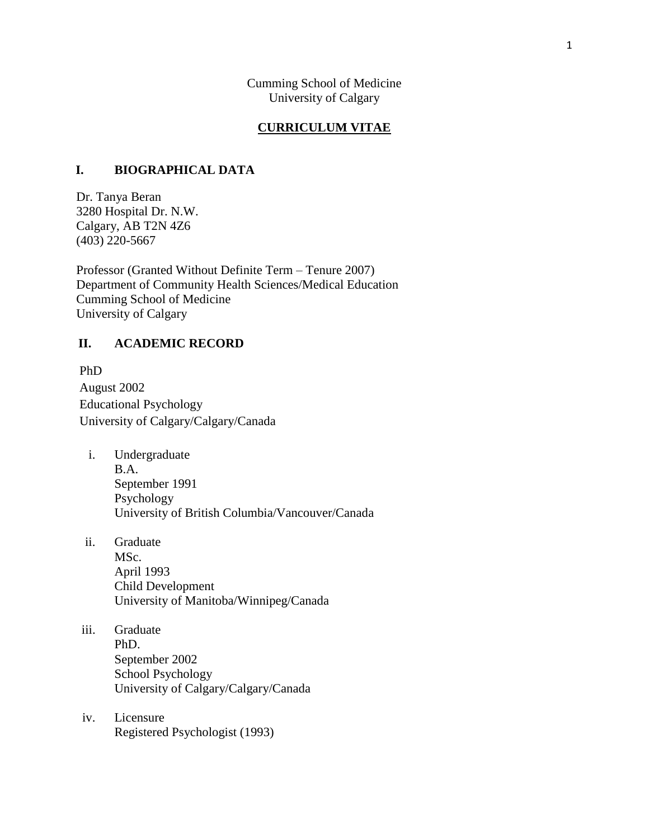Cumming School of Medicine University of Calgary

#### **CURRICULUM VITAE**

### **I. BIOGRAPHICAL DATA**

Dr. Tanya Beran 3280 Hospital Dr. N.W. Calgary, AB T2N 4Z6 (403) 220-5667

Professor (Granted Without Definite Term – Tenure 2007) Department of Community Health Sciences/Medical Education Cumming School of Medicine University of Calgary

### **II. ACADEMIC RECORD**

PhD August 2002 Educational Psychology University of Calgary/Calgary/Canada

- i. Undergraduate B.A. September 1991 Psychology University of British Columbia/Vancouver/Canada
- ii. Graduate MSc. April 1993 Child Development University of Manitoba/Winnipeg/Canada
- iii. Graduate PhD. September 2002 School Psychology University of Calgary/Calgary/Canada
- iv. Licensure Registered Psychologist (1993)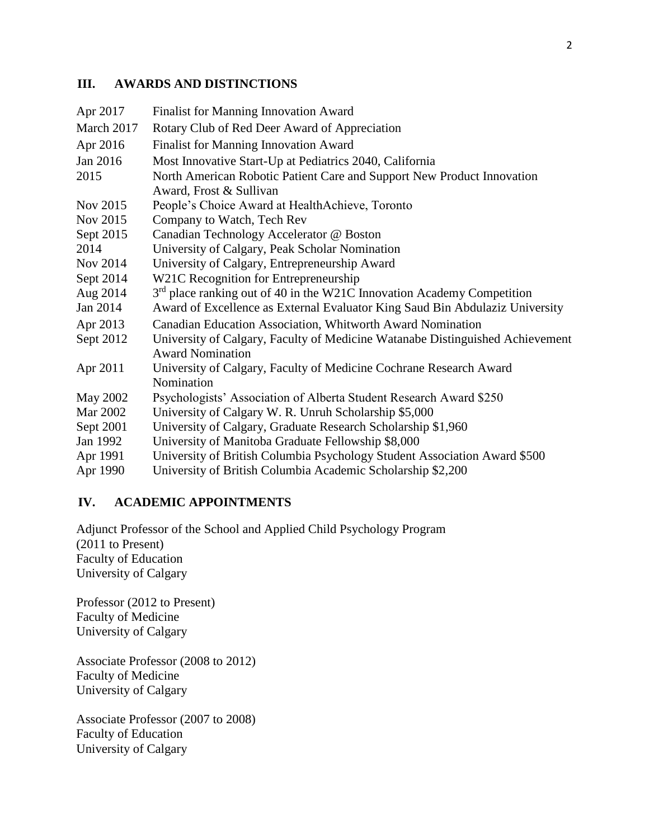### **III. AWARDS AND DISTINCTIONS**

| Apr 2017   | <b>Finalist for Manning Innovation Award</b>                                                             |
|------------|----------------------------------------------------------------------------------------------------------|
| March 2017 | Rotary Club of Red Deer Award of Appreciation                                                            |
| Apr 2016   | Finalist for Manning Innovation Award                                                                    |
| Jan 2016   | Most Innovative Start-Up at Pediatrics 2040, California                                                  |
| 2015       | North American Robotic Patient Care and Support New Product Innovation                                   |
|            | Award, Frost & Sullivan                                                                                  |
| Nov 2015   | People's Choice Award at HealthAchieve, Toronto                                                          |
| Nov 2015   | Company to Watch, Tech Rev                                                                               |
| Sept 2015  | Canadian Technology Accelerator @ Boston                                                                 |
| 2014       | University of Calgary, Peak Scholar Nomination                                                           |
| Nov 2014   | University of Calgary, Entrepreneurship Award                                                            |
| Sept 2014  | W21C Recognition for Entrepreneurship                                                                    |
| Aug 2014   | 3 <sup>rd</sup> place ranking out of 40 in the W21C Innovation Academy Competition                       |
| Jan 2014   | Award of Excellence as External Evaluator King Saud Bin Abdulaziz University                             |
| Apr 2013   | Canadian Education Association, Whitworth Award Nomination                                               |
| Sept 2012  | University of Calgary, Faculty of Medicine Watanabe Distinguished Achievement<br><b>Award Nomination</b> |
| Apr 2011   | University of Calgary, Faculty of Medicine Cochrane Research Award<br>Nomination                         |
| May 2002   | Psychologists' Association of Alberta Student Research Award \$250                                       |
| Mar 2002   | University of Calgary W. R. Unruh Scholarship \$5,000                                                    |
| Sept 2001  | University of Calgary, Graduate Research Scholarship \$1,960                                             |
| Jan 1992   | University of Manitoba Graduate Fellowship \$8,000                                                       |
| Apr 1991   | University of British Columbia Psychology Student Association Award \$500                                |
| Apr 1990   | University of British Columbia Academic Scholarship \$2,200                                              |

### **IV. ACADEMIC APPOINTMENTS**

Adjunct Professor of the School and Applied Child Psychology Program (2011 to Present) Faculty of Education University of Calgary

Professor (2012 to Present) Faculty of Medicine University of Calgary

Associate Professor (2008 to 2012) Faculty of Medicine University of Calgary

Associate Professor (2007 to 2008) Faculty of Education University of Calgary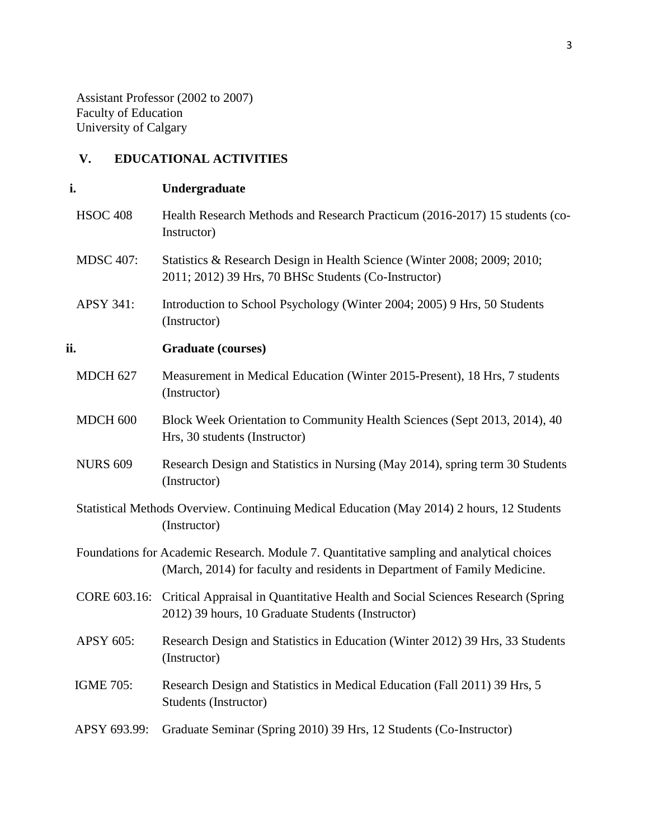Assistant Professor (2002 to 2007) Faculty of Education University of Calgary

# **V. EDUCATIONAL ACTIVITIES**

# **i. Undergraduate**

|     | <b>HSOC 408</b>  | Health Research Methods and Research Practicum (2016-2017) 15 students (co-<br>Instructor)                                                                             |
|-----|------------------|------------------------------------------------------------------------------------------------------------------------------------------------------------------------|
|     | <b>MDSC 407:</b> | Statistics & Research Design in Health Science (Winter 2008; 2009; 2010;<br>2011; 2012) 39 Hrs, 70 BHSc Students (Co-Instructor)                                       |
|     | <b>APSY 341:</b> | Introduction to School Psychology (Winter 2004; 2005) 9 Hrs, 50 Students<br>(Instructor)                                                                               |
| ii. |                  | <b>Graduate (courses)</b>                                                                                                                                              |
|     | <b>MDCH 627</b>  | Measurement in Medical Education (Winter 2015-Present), 18 Hrs, 7 students<br>(Instructor)                                                                             |
|     | MDCH 600         | Block Week Orientation to Community Health Sciences (Sept 2013, 2014), 40<br>Hrs, 30 students (Instructor)                                                             |
|     | <b>NURS 609</b>  | Research Design and Statistics in Nursing (May 2014), spring term 30 Students<br>(Instructor)                                                                          |
|     |                  | Statistical Methods Overview. Continuing Medical Education (May 2014) 2 hours, 12 Students<br>(Instructor)                                                             |
|     |                  | Foundations for Academic Research. Module 7. Quantitative sampling and analytical choices<br>(March, 2014) for faculty and residents in Department of Family Medicine. |
|     |                  | CORE 603.16: Critical Appraisal in Quantitative Health and Social Sciences Research (Spring<br>2012) 39 hours, 10 Graduate Students (Instructor)                       |
|     | APSY 605:        | Research Design and Statistics in Education (Winter 2012) 39 Hrs, 33 Students<br>(Instructor)                                                                          |
|     | <b>IGME 705:</b> | Research Design and Statistics in Medical Education (Fall 2011) 39 Hrs, 5<br>Students (Instructor)                                                                     |
|     | APSY 693.99:     | Graduate Seminar (Spring 2010) 39 Hrs, 12 Students (Co-Instructor)                                                                                                     |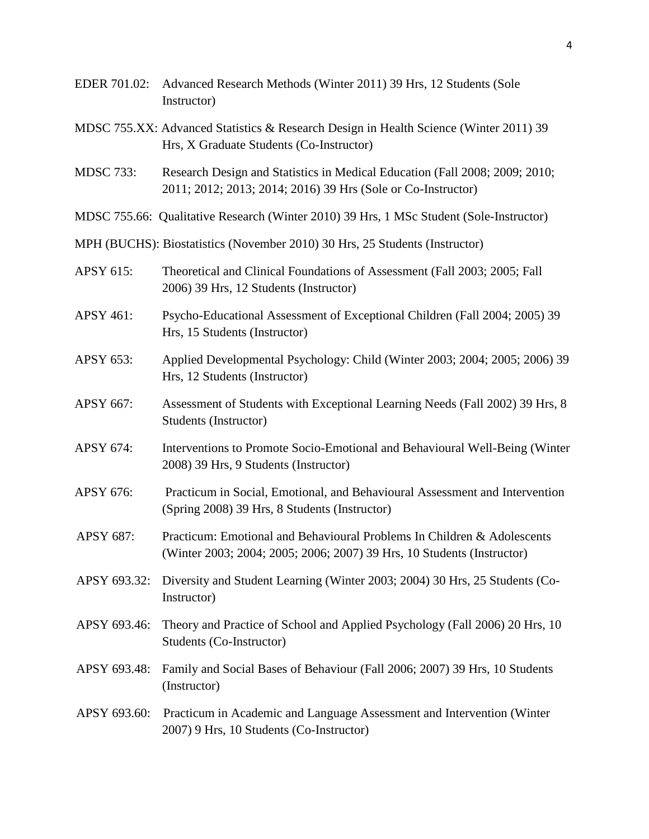EDER 701.02: Advanced Research Methods (Winter 2011) 39 Hrs, 12 Students (Sole Instructor) MDSC 755.XX: Advanced Statistics & Research Design in Health Science (Winter 2011) 39 Hrs, X Graduate Students (Co-Instructor) MDSC 733: Research Design and Statistics in Medical Education (Fall 2008; 2009; 2010; 2011; 2012; 2013; 2014; 2016) 39 Hrs (Sole or Co-Instructor) MDSC 755.66: Qualitative Research (Winter 2010) 39 Hrs, 1 MSc Student (Sole-Instructor) MPH (BUCHS): Biostatistics (November 2010) 30 Hrs, 25 Students (Instructor) APSY 615: Theoretical and Clinical Foundations of Assessment (Fall 2003; 2005; Fall 2006) 39 Hrs, 12 Students (Instructor) APSY 461: Psycho-Educational Assessment of Exceptional Children (Fall 2004; 2005) 39 Hrs, 15 Students (Instructor) APSY 653: Applied Developmental Psychology: Child (Winter 2003; 2004; 2005; 2006) 39 Hrs, 12 Students (Instructor) APSY 667: Assessment of Students with Exceptional Learning Needs (Fall 2002) 39 Hrs, 8 Students (Instructor) APSY 674: Interventions to Promote Socio-Emotional and Behavioural Well-Being (Winter 2008) 39 Hrs, 9 Students (Instructor) APSY 676: Practicum in Social, Emotional, and Behavioural Assessment and Intervention (Spring 2008) 39 Hrs, 8 Students (Instructor) APSY 687: Practicum: Emotional and Behavioural Problems In Children & Adolescents (Winter 2003; 2004; 2005; 2006; 2007) 39 Hrs, 10 Students (Instructor) APSY 693.32: Diversity and Student Learning (Winter 2003; 2004) 30 Hrs, 25 Students (Co-Instructor) APSY 693.46: Theory and Practice of School and Applied Psychology (Fall 2006) 20 Hrs, 10 Students (Co-Instructor) APSY 693.48: Family and Social Bases of Behaviour (Fall 2006; 2007) 39 Hrs, 10 Students (Instructor) APSY 693.60: Practicum in Academic and Language Assessment and Intervention (Winter 2007) 9 Hrs, 10 Students (Co-Instructor)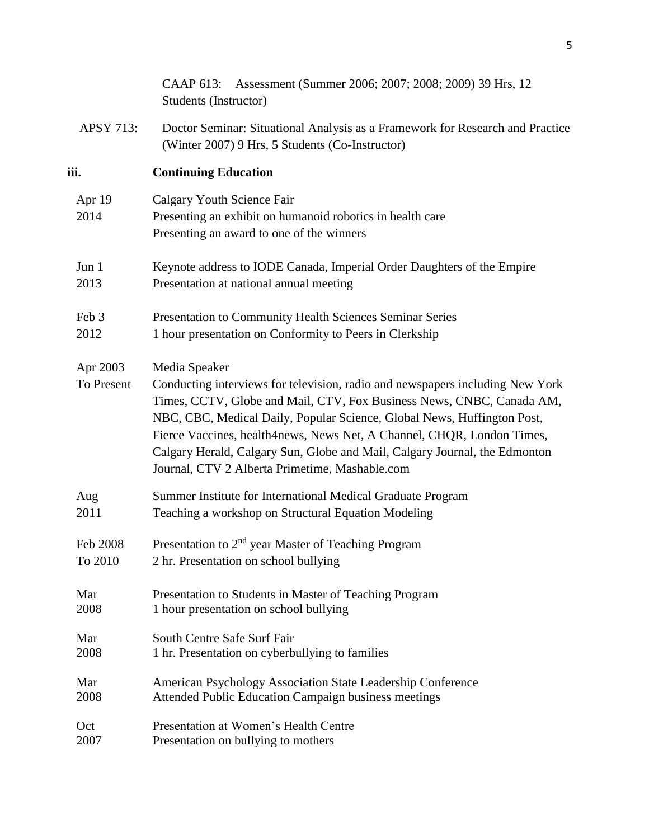|                        | Assessment (Summer 2006; 2007; 2008; 2009) 39 Hrs, 12<br>CAAP 613:<br>Students (Instructor)                                                                                                                                                                                                                                                                                                                                                                  |
|------------------------|--------------------------------------------------------------------------------------------------------------------------------------------------------------------------------------------------------------------------------------------------------------------------------------------------------------------------------------------------------------------------------------------------------------------------------------------------------------|
| <b>APSY 713:</b>       | Doctor Seminar: Situational Analysis as a Framework for Research and Practice<br>(Winter 2007) 9 Hrs, 5 Students (Co-Instructor)                                                                                                                                                                                                                                                                                                                             |
| iii.                   | <b>Continuing Education</b>                                                                                                                                                                                                                                                                                                                                                                                                                                  |
| Apr 19<br>2014         | Calgary Youth Science Fair<br>Presenting an exhibit on humanoid robotics in health care<br>Presenting an award to one of the winners                                                                                                                                                                                                                                                                                                                         |
| Jun 1                  | Keynote address to IODE Canada, Imperial Order Daughters of the Empire                                                                                                                                                                                                                                                                                                                                                                                       |
| 2013                   | Presentation at national annual meeting                                                                                                                                                                                                                                                                                                                                                                                                                      |
| Feb 3                  | Presentation to Community Health Sciences Seminar Series                                                                                                                                                                                                                                                                                                                                                                                                     |
| 2012                   | 1 hour presentation on Conformity to Peers in Clerkship                                                                                                                                                                                                                                                                                                                                                                                                      |
| Apr 2003<br>To Present | Media Speaker<br>Conducting interviews for television, radio and newspapers including New York<br>Times, CCTV, Globe and Mail, CTV, Fox Business News, CNBC, Canada AM,<br>NBC, CBC, Medical Daily, Popular Science, Global News, Huffington Post,<br>Fierce Vaccines, health4news, News Net, A Channel, CHQR, London Times,<br>Calgary Herald, Calgary Sun, Globe and Mail, Calgary Journal, the Edmonton<br>Journal, CTV 2 Alberta Primetime, Mashable.com |
| Aug                    | Summer Institute for International Medical Graduate Program                                                                                                                                                                                                                                                                                                                                                                                                  |
| 2011                   | Teaching a workshop on Structural Equation Modeling                                                                                                                                                                                                                                                                                                                                                                                                          |
| Feb 2008               | Presentation to 2 <sup>nd</sup> year Master of Teaching Program                                                                                                                                                                                                                                                                                                                                                                                              |
| To 2010                | 2 hr. Presentation on school bullying                                                                                                                                                                                                                                                                                                                                                                                                                        |
| Mar                    | Presentation to Students in Master of Teaching Program                                                                                                                                                                                                                                                                                                                                                                                                       |
| 2008                   | 1 hour presentation on school bullying                                                                                                                                                                                                                                                                                                                                                                                                                       |
| Mar                    | South Centre Safe Surf Fair                                                                                                                                                                                                                                                                                                                                                                                                                                  |
| 2008                   | 1 hr. Presentation on cyberbullying to families                                                                                                                                                                                                                                                                                                                                                                                                              |
| Mar                    | American Psychology Association State Leadership Conference                                                                                                                                                                                                                                                                                                                                                                                                  |
| 2008                   | Attended Public Education Campaign business meetings                                                                                                                                                                                                                                                                                                                                                                                                         |
| Oct                    | Presentation at Women's Health Centre                                                                                                                                                                                                                                                                                                                                                                                                                        |
| 2007                   | Presentation on bullying to mothers                                                                                                                                                                                                                                                                                                                                                                                                                          |
|                        |                                                                                                                                                                                                                                                                                                                                                                                                                                                              |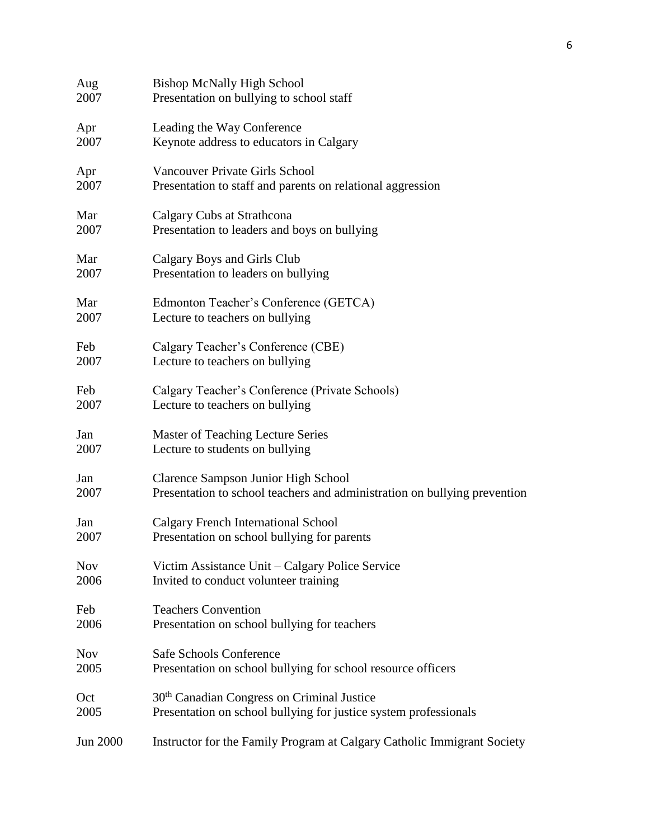| Aug        | <b>Bishop McNally High School</b>                                         |
|------------|---------------------------------------------------------------------------|
| 2007       | Presentation on bullying to school staff                                  |
| Apr        | Leading the Way Conference                                                |
| 2007       | Keynote address to educators in Calgary                                   |
| Apr        | <b>Vancouver Private Girls School</b>                                     |
| 2007       | Presentation to staff and parents on relational aggression                |
| Mar        | Calgary Cubs at Strathcona                                                |
| 2007       | Presentation to leaders and boys on bullying                              |
| Mar        | Calgary Boys and Girls Club                                               |
| 2007       | Presentation to leaders on bullying                                       |
| Mar        | Edmonton Teacher's Conference (GETCA)                                     |
| 2007       | Lecture to teachers on bullying                                           |
| Feb        | Calgary Teacher's Conference (CBE)                                        |
| 2007       | Lecture to teachers on bullying                                           |
| Feb        | Calgary Teacher's Conference (Private Schools)                            |
| 2007       | Lecture to teachers on bullying                                           |
| Jan        | Master of Teaching Lecture Series                                         |
| 2007       | Lecture to students on bullying                                           |
| Jan        | Clarence Sampson Junior High School                                       |
| 2007       | Presentation to school teachers and administration on bullying prevention |
| Jan        | <b>Calgary French International School</b>                                |
| 2007       | Presentation on school bullying for parents                               |
| <b>Nov</b> | Victim Assistance Unit – Calgary Police Service                           |
| 2006       | Invited to conduct volunteer training                                     |
| Feb        | <b>Teachers Convention</b>                                                |
| 2006       | Presentation on school bullying for teachers                              |
| <b>Nov</b> | <b>Safe Schools Conference</b>                                            |
| 2005       | Presentation on school bullying for school resource officers              |
| Oct        | 30 <sup>th</sup> Canadian Congress on Criminal Justice                    |
| 2005       | Presentation on school bullying for justice system professionals          |
| Jun 2000   | Instructor for the Family Program at Calgary Catholic Immigrant Society   |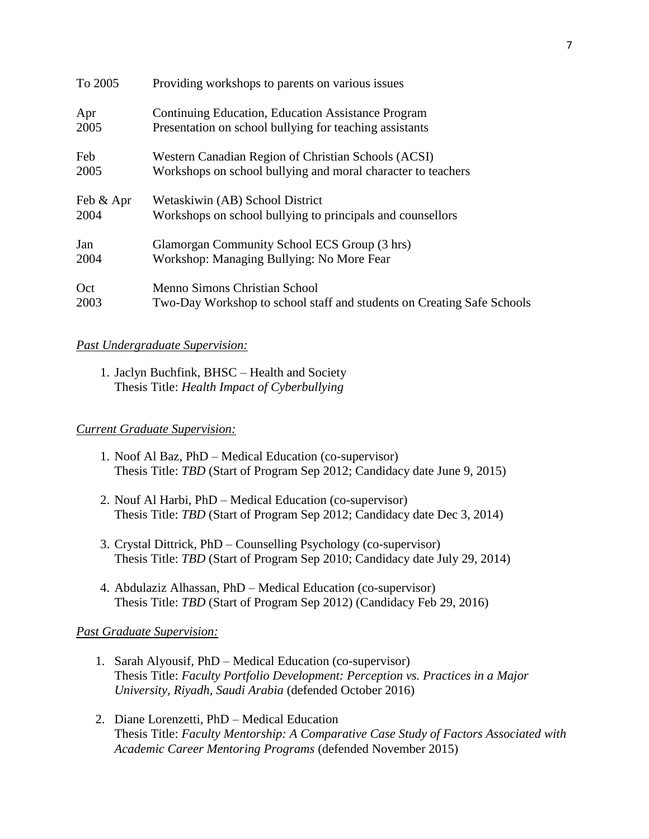| To 2005   | Providing workshops to parents on various issues                       |
|-----------|------------------------------------------------------------------------|
| Apr       | Continuing Education, Education Assistance Program                     |
| 2005      | Presentation on school bullying for teaching assistants                |
| Feb       | Western Canadian Region of Christian Schools (ACSI)                    |
| 2005      | Workshops on school bullying and moral character to teachers           |
| Feb & Apr | Wetaskiwin (AB) School District                                        |
| 2004      | Workshops on school bullying to principals and counsellors             |
| Jan       | Glamorgan Community School ECS Group (3 hrs)                           |
| 2004      | Workshop: Managing Bullying: No More Fear                              |
| Oct       | Menno Simons Christian School                                          |
| 2003      | Two-Day Workshop to school staff and students on Creating Safe Schools |

### *Past Undergraduate Supervision:*

1. Jaclyn Buchfink, BHSC – Health and Society Thesis Title: *Health Impact of Cyberbullying*

### *Current Graduate Supervision:*

- 1. Noof Al Baz, PhD Medical Education (co-supervisor) Thesis Title: *TBD* (Start of Program Sep 2012; Candidacy date June 9, 2015)
- 2. Nouf Al Harbi, PhD Medical Education (co-supervisor) Thesis Title: *TBD* (Start of Program Sep 2012; Candidacy date Dec 3, 2014)
- 3. Crystal Dittrick, PhD Counselling Psychology (co-supervisor) Thesis Title: *TBD* (Start of Program Sep 2010; Candidacy date July 29, 2014)
- 4. Abdulaziz Alhassan, PhD Medical Education (co-supervisor) Thesis Title: *TBD* (Start of Program Sep 2012) (Candidacy Feb 29, 2016)

### *Past Graduate Supervision:*

- 1. Sarah Alyousif, PhD Medical Education (co-supervisor) Thesis Title: *Faculty Portfolio Development: Perception vs. Practices in a Major University, Riyadh, Saudi Arabia* (defended October 2016)
- 2. Diane Lorenzetti, PhD Medical Education Thesis Title: *Faculty Mentorship: A Comparative Case Study of Factors Associated with Academic Career Mentoring Programs* (defended November 2015)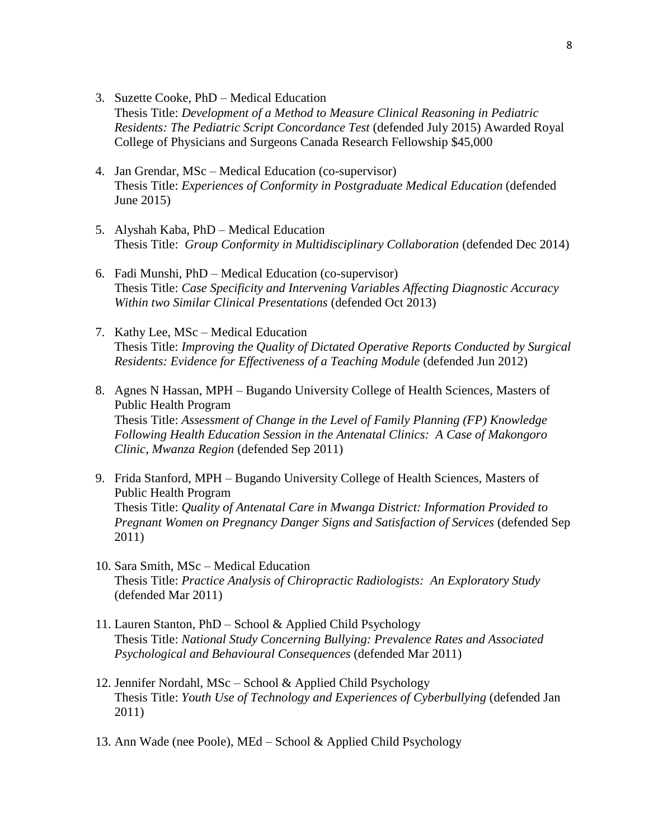- 3. Suzette Cooke, PhD Medical Education Thesis Title: *Development of a Method to Measure Clinical Reasoning in Pediatric Residents: The Pediatric Script Concordance Test* (defended July 2015) Awarded Royal College of Physicians and Surgeons Canada Research Fellowship \$45,000
- 4. Jan Grendar, MSc Medical Education (co-supervisor) Thesis Title: *Experiences of Conformity in Postgraduate Medical Education* (defended June 2015)
- 5. Alyshah Kaba, PhD Medical Education Thesis Title: *Group Conformity in Multidisciplinary Collaboration* (defended Dec 2014)
- 6. Fadi Munshi, PhD Medical Education (co-supervisor) Thesis Title: *Case Specificity and Intervening Variables Affecting Diagnostic Accuracy Within two Similar Clinical Presentations* (defended Oct 2013)
- 7. Kathy Lee, MSc Medical Education Thesis Title: *Improving the Quality of Dictated Operative Reports Conducted by Surgical Residents: Evidence for Effectiveness of a Teaching Module* (defended Jun 2012)
- 8. Agnes N Hassan, MPH Bugando University College of Health Sciences, Masters of Public Health Program Thesis Title: *Assessment of Change in the Level of Family Planning (FP) Knowledge Following Health Education Session in the Antenatal Clinics: A Case of Makongoro Clinic, Mwanza Region* (defended Sep 2011)
- 9. Frida Stanford, MPH Bugando University College of Health Sciences, Masters of Public Health Program Thesis Title: *Quality of Antenatal Care in Mwanga District: Information Provided to Pregnant Women on Pregnancy Danger Signs and Satisfaction of Services* (defended Sep 2011)
- 10. Sara Smith, MSc Medical Education Thesis Title: *Practice Analysis of Chiropractic Radiologists: An Exploratory Study* (defended Mar 2011)
- 11. Lauren Stanton, PhD School & Applied Child Psychology Thesis Title: *National Study Concerning Bullying: Prevalence Rates and Associated Psychological and Behavioural Consequences* (defended Mar 2011)
- 12. Jennifer Nordahl, MSc School & Applied Child Psychology Thesis Title: *Youth Use of Technology and Experiences of Cyberbullying* (defended Jan 2011)
- 13. Ann Wade (nee Poole), MEd School & Applied Child Psychology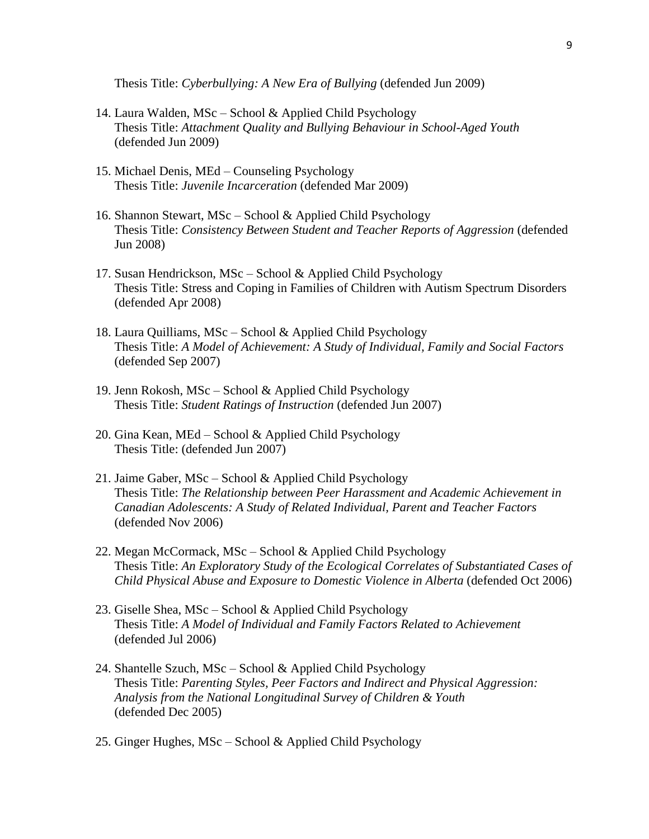Thesis Title: *Cyberbullying: A New Era of Bullying* (defended Jun 2009)

- 14. Laura Walden, MSc School & Applied Child Psychology Thesis Title: *Attachment Quality and Bullying Behaviour in School-Aged Youth* (defended Jun 2009)
- 15. Michael Denis, MEd Counseling Psychology Thesis Title: *Juvenile Incarceration* (defended Mar 2009)
- 16. Shannon Stewart, MSc School & Applied Child Psychology Thesis Title: *Consistency Between Student and Teacher Reports of Aggression* (defended Jun 2008)
- 17. Susan Hendrickson, MSc School & Applied Child Psychology Thesis Title: Stress and Coping in Families of Children with Autism Spectrum Disorders (defended Apr 2008)
- 18. Laura Quilliams, MSc School & Applied Child Psychology Thesis Title: *A Model of Achievement: A Study of Individual, Family and Social Factors* (defended Sep 2007)
- 19. Jenn Rokosh, MSc School & Applied Child Psychology Thesis Title: *Student Ratings of Instruction* (defended Jun 2007)
- 20. Gina Kean, MEd School & Applied Child Psychology Thesis Title: (defended Jun 2007)
- 21. Jaime Gaber, MSc School & Applied Child Psychology Thesis Title: *The Relationship between Peer Harassment and Academic Achievement in Canadian Adolescents: A Study of Related Individual, Parent and Teacher Factors* (defended Nov 2006)
- 22. Megan McCormack, MSc School & Applied Child Psychology Thesis Title: *An Exploratory Study of the Ecological Correlates of Substantiated Cases of Child Physical Abuse and Exposure to Domestic Violence in Alberta* (defended Oct 2006)
- 23. Giselle Shea, MSc School & Applied Child Psychology Thesis Title: *A Model of Individual and Family Factors Related to Achievement* (defended Jul 2006)
- 24. Shantelle Szuch, MSc School & Applied Child Psychology Thesis Title: *Parenting Styles, Peer Factors and Indirect and Physical Aggression: Analysis from the National Longitudinal Survey of Children & Youth* (defended Dec 2005)
- 25. Ginger Hughes, MSc School & Applied Child Psychology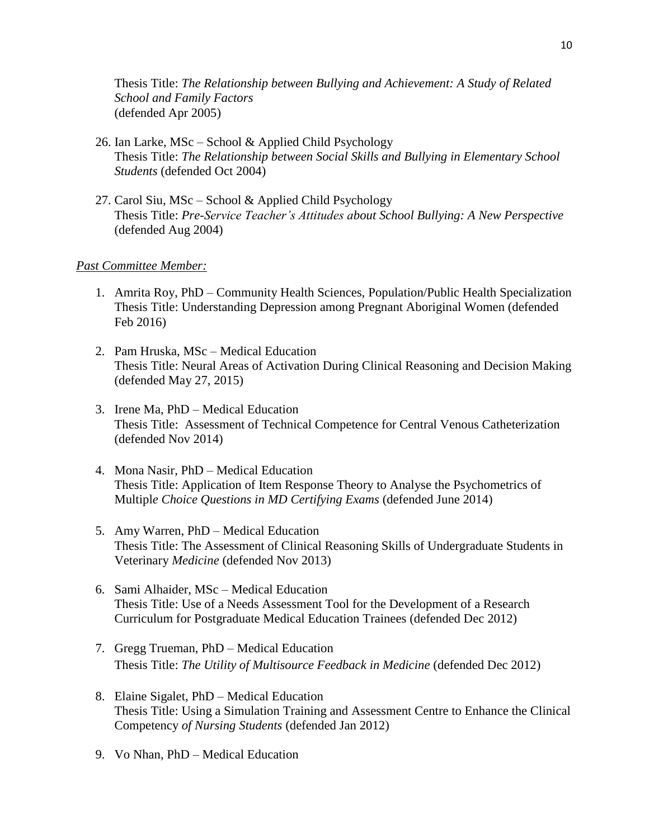Thesis Title: *The Relationship between Bullying and Achievement: A Study of Related School and Family Factors* (defended Apr 2005)

- 26. Ian Larke, MSc School & Applied Child Psychology Thesis Title: *The Relationship between Social Skills and Bullying in Elementary School Students* (defended Oct 2004)
- 27. Carol Siu, MSc School & Applied Child Psychology Thesis Title: *Pre-Service Teacher's Attitudes about School Bullying: A New Perspective* (defended Aug 2004)

#### *Past Committee Member:*

- 1. Amrita Roy, PhD Community Health Sciences, Population/Public Health Specialization Thesis Title: Understanding Depression among Pregnant Aboriginal Women (defended Feb 2016)
- 2. Pam Hruska, MSc Medical Education Thesis Title: Neural Areas of Activation During Clinical Reasoning and Decision Making (defended May 27, 2015)
- 3. Irene Ma, PhD Medical Education Thesis Title: Assessment of Technical Competence for Central Venous Catheterization (defended Nov 2014)
- 4. Mona Nasir, PhD Medical Education Thesis Title: Application of Item Response Theory to Analyse the Psychometrics of Multipl*e Choice Questions in MD Certifying Exams* (defended June 2014)
- 5. Amy Warren, PhD Medical Education Thesis Title: The Assessment of Clinical Reasoning Skills of Undergraduate Students in Veterinary *Medicine* (defended Nov 2013)
- 6. Sami Alhaider, MSc Medical Education Thesis Title: Use of a Needs Assessment Tool for the Development of a Research Curriculum for Postgraduate Medical Education Trainees (defended Dec 2012)
- 7. Gregg Trueman, PhD Medical Education Thesis Title: *The Utility of Multisource Feedback in Medicine* (defended Dec 2012)
- 8. Elaine Sigalet, PhD Medical Education Thesis Title: Using a Simulation Training and Assessment Centre to Enhance the Clinical Competency *of Nursing Students* (defended Jan 2012)
- 9. Vo Nhan, PhD Medical Education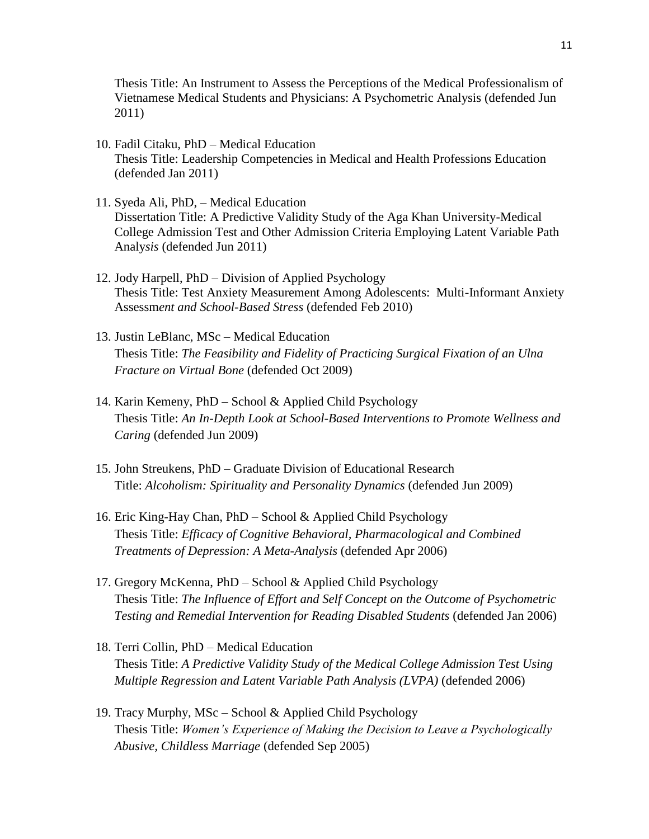Thesis Title: An Instrument to Assess the Perceptions of the Medical Professionalism of Vietnamese Medical Students and Physicians: A Psychometric Analysis (defended Jun 2011)

- 10. Fadil Citaku, PhD Medical Education Thesis Title: Leadership Competencies in Medical and Health Professions Education (defended Jan 2011)
- 11. Syeda Ali, PhD, Medical Education Dissertation Title: A Predictive Validity Study of the Aga Khan University-Medical College Admission Test and Other Admission Criteria Employing Latent Variable Path Analy*sis* (defended Jun 2011)
- 12. Jody Harpell, PhD Division of Applied Psychology Thesis Title: Test Anxiety Measurement Among Adolescents: Multi-Informant Anxiety Assessm*ent and School-Based Stress* (defended Feb 2010)
- 13. Justin LeBlanc, MSc Medical Education Thesis Title: *The Feasibility and Fidelity of Practicing Surgical Fixation of an Ulna Fracture on Virtual Bone* (defended Oct 2009)
- 14. Karin Kemeny, PhD School & Applied Child Psychology Thesis Title: *An In-Depth Look at School-Based Interventions to Promote Wellness and Caring* (defended Jun 2009)
- 15. John Streukens, PhD Graduate Division of Educational Research Title: *Alcoholism: Spirituality and Personality Dynamics* (defended Jun 2009)
- 16. Eric King-Hay Chan, PhD School & Applied Child Psychology Thesis Title: *Efficacy of Cognitive Behavioral, Pharmacological and Combined Treatments of Depression: A Meta-Analysis* (defended Apr 2006)
- 17. Gregory McKenna, PhD School & Applied Child Psychology Thesis Title: *The Influence of Effort and Self Concept on the Outcome of Psychometric Testing and Remedial Intervention for Reading Disabled Students* (defended Jan 2006)
- 18. Terri Collin, PhD Medical Education Thesis Title: *A Predictive Validity Study of the Medical College Admission Test Using Multiple Regression and Latent Variable Path Analysis (LVPA)* (defended 2006)
- 19. Tracy Murphy, MSc School & Applied Child Psychology Thesis Title: *Women's Experience of Making the Decision to Leave a Psychologically Abusive, Childless Marriage* (defended Sep 2005)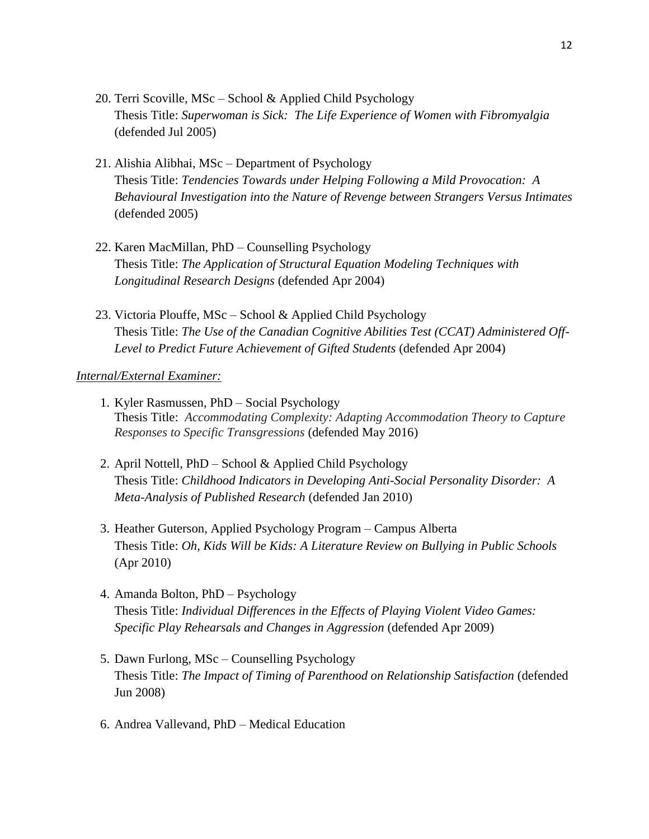- 20. Terri Scoville, MSc School & Applied Child Psychology Thesis Title: *Superwoman is Sick: The Life Experience of Women with Fibromyalgia* (defended Jul 2005)
- 21. Alishia Alibhai, MSc Department of Psychology Thesis Title: *Tendencies Towards under Helping Following a Mild Provocation: A Behavioural Investigation into the Nature of Revenge between Strangers Versus Intimates* (defended 2005)
- 22. Karen MacMillan, PhD Counselling Psychology Thesis Title: *The Application of Structural Equation Modeling Techniques with Longitudinal Research Designs* (defended Apr 2004)
- 23. Victoria Plouffe, MSc School & Applied Child Psychology Thesis Title: *The Use of the Canadian Cognitive Abilities Test (CCAT) Administered Off-Level to Predict Future Achievement of Gifted Students* (defended Apr 2004)

#### *Internal/External Examiner:*

- 1. Kyler Rasmussen, PhD Social Psychology Thesis Title: *Accommodating Complexity: Adapting Accommodation Theory to Capture Responses to Specific Transgressions* (defended May 2016)
- 2. April Nottell, PhD School & Applied Child Psychology Thesis Title: *Childhood Indicators in Developing Anti-Social Personality Disorder: A Meta-Analysis of Published Research* (defended Jan 2010)
- 3. Heather Guterson, Applied Psychology Program Campus Alberta Thesis Title: *Oh, Kids Will be Kids: A Literature Review on Bullying in Public Schools* (Apr 2010)
- 4. Amanda Bolton, PhD Psychology Thesis Title: *Individual Differences in the Effects of Playing Violent Video Games: Specific Play Rehearsals and Changes in Aggression* (defended Apr 2009)
- 5. Dawn Furlong, MSc Counselling Psychology Thesis Title: *The Impact of Timing of Parenthood on Relationship Satisfaction* (defended Jun 2008)
- 6. Andrea Vallevand, PhD Medical Education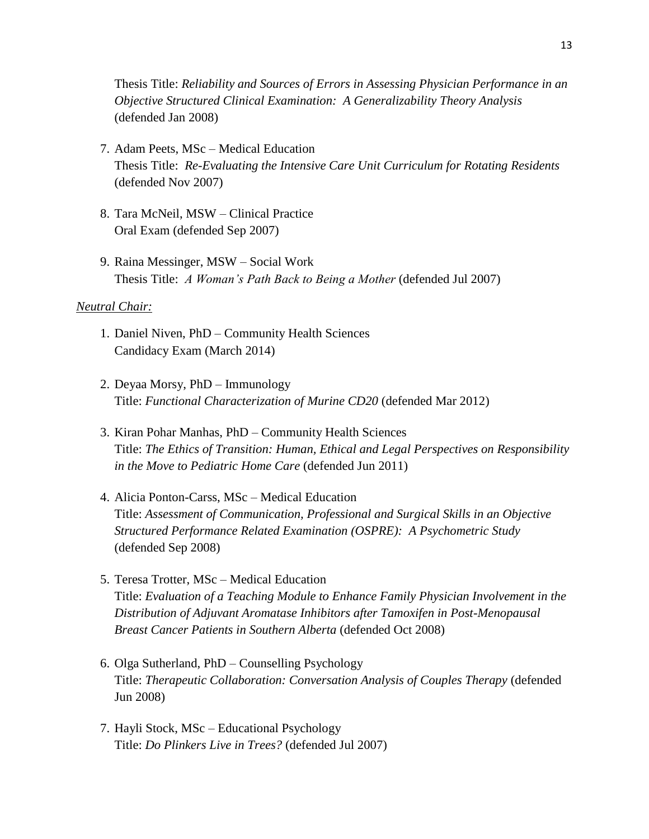Thesis Title: *Reliability and Sources of Errors in Assessing Physician Performance in an Objective Structured Clinical Examination: A Generalizability Theory Analysis* (defended Jan 2008)

- 7. Adam Peets, MSc Medical Education Thesis Title: *Re-Evaluating the Intensive Care Unit Curriculum for Rotating Residents* (defended Nov 2007)
- 8. Tara McNeil, MSW Clinical Practice Oral Exam (defended Sep 2007)
- 9. Raina Messinger, MSW Social Work Thesis Title: *A Woman's Path Back to Being a Mother* (defended Jul 2007)

#### *Neutral Chair:*

- 1. Daniel Niven, PhD Community Health Sciences Candidacy Exam (March 2014)
- 2. Deyaa Morsy, PhD Immunology Title: *Functional Characterization of Murine CD20* (defended Mar 2012)
- 3. Kiran Pohar Manhas, PhD Community Health Sciences Title: *The Ethics of Transition: Human, Ethical and Legal Perspectives on Responsibility in the Move to Pediatric Home Care* (defended Jun 2011)
- 4. Alicia Ponton-Carss, MSc Medical Education Title: *Assessment of Communication, Professional and Surgical Skills in an Objective Structured Performance Related Examination (OSPRE): A Psychometric Study* (defended Sep 2008)
- 5. Teresa Trotter, MSc Medical Education Title: *Evaluation of a Teaching Module to Enhance Family Physician Involvement in the Distribution of Adjuvant Aromatase Inhibitors after Tamoxifen in Post-Menopausal Breast Cancer Patients in Southern Alberta* (defended Oct 2008)
- 6. Olga Sutherland, PhD Counselling Psychology Title: *Therapeutic Collaboration: Conversation Analysis of Couples Therapy* (defended Jun 2008)
- 7. Hayli Stock, MSc Educational Psychology Title: *Do Plinkers Live in Trees?* (defended Jul 2007)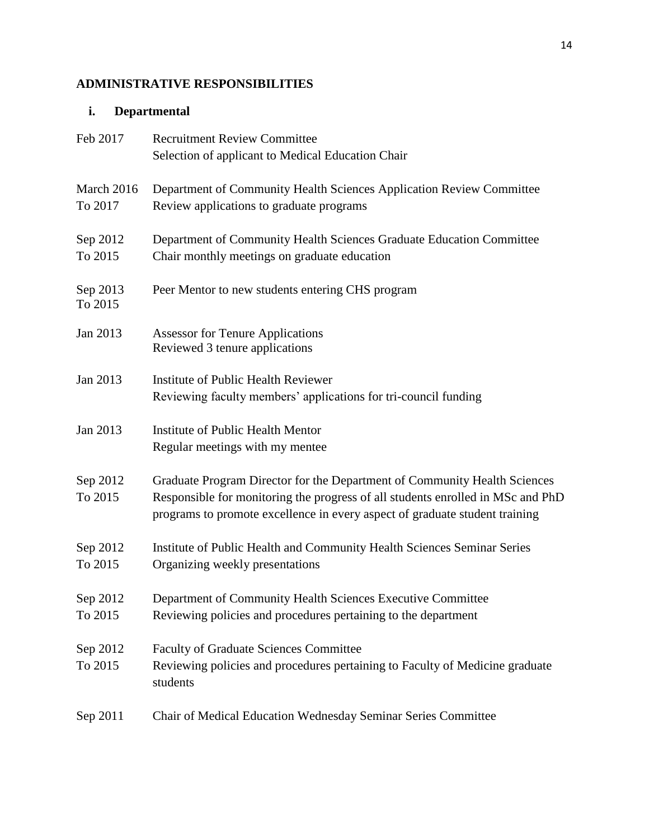# **ADMINISTRATIVE RESPONSIBILITIES**

### **i. Departmental**

| Feb 2017              | <b>Recruitment Review Committee</b>                                                                                                                                                                                                         |
|-----------------------|---------------------------------------------------------------------------------------------------------------------------------------------------------------------------------------------------------------------------------------------|
|                       | Selection of applicant to Medical Education Chair                                                                                                                                                                                           |
| March 2016<br>To 2017 | Department of Community Health Sciences Application Review Committee<br>Review applications to graduate programs                                                                                                                            |
| Sep 2012<br>To 2015   | Department of Community Health Sciences Graduate Education Committee<br>Chair monthly meetings on graduate education                                                                                                                        |
| Sep 2013<br>To 2015   | Peer Mentor to new students entering CHS program                                                                                                                                                                                            |
| Jan 2013              | <b>Assessor for Tenure Applications</b><br>Reviewed 3 tenure applications                                                                                                                                                                   |
| Jan 2013              | Institute of Public Health Reviewer<br>Reviewing faculty members' applications for tri-council funding                                                                                                                                      |
| Jan 2013              | Institute of Public Health Mentor<br>Regular meetings with my mentee                                                                                                                                                                        |
| Sep 2012<br>To 2015   | Graduate Program Director for the Department of Community Health Sciences<br>Responsible for monitoring the progress of all students enrolled in MSc and PhD<br>programs to promote excellence in every aspect of graduate student training |
| Sep 2012<br>To 2015   | Institute of Public Health and Community Health Sciences Seminar Series<br>Organizing weekly presentations                                                                                                                                  |
| Sep 2012<br>To 2015   | Department of Community Health Sciences Executive Committee<br>Reviewing policies and procedures pertaining to the department                                                                                                               |
| Sep 2012<br>To 2015   | <b>Faculty of Graduate Sciences Committee</b><br>Reviewing policies and procedures pertaining to Faculty of Medicine graduate<br>students                                                                                                   |
| Sep 2011              | Chair of Medical Education Wednesday Seminar Series Committee                                                                                                                                                                               |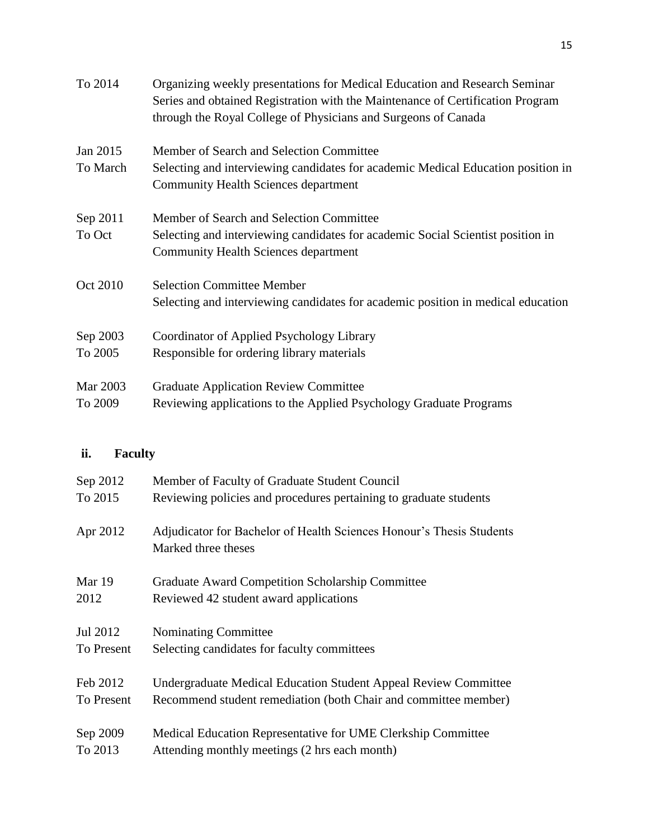| To 2014  | Organizing weekly presentations for Medical Education and Research Seminar<br>Series and obtained Registration with the Maintenance of Certification Program<br>through the Royal College of Physicians and Surgeons of Canada |
|----------|--------------------------------------------------------------------------------------------------------------------------------------------------------------------------------------------------------------------------------|
| Jan 2015 | Member of Search and Selection Committee                                                                                                                                                                                       |
| To March | Selecting and interviewing candidates for academic Medical Education position in<br><b>Community Health Sciences department</b>                                                                                                |
| Sep 2011 | Member of Search and Selection Committee                                                                                                                                                                                       |
| To Oct   | Selecting and interviewing candidates for academic Social Scientist position in<br><b>Community Health Sciences department</b>                                                                                                 |
| Oct 2010 | <b>Selection Committee Member</b>                                                                                                                                                                                              |
|          | Selecting and interviewing candidates for academic position in medical education                                                                                                                                               |
| Sep 2003 | Coordinator of Applied Psychology Library                                                                                                                                                                                      |
| To 2005  | Responsible for ordering library materials                                                                                                                                                                                     |
| Mar 2003 | <b>Graduate Application Review Committee</b>                                                                                                                                                                                   |
| To 2009  | Reviewing applications to the Applied Psychology Graduate Programs                                                                                                                                                             |

# **ii. Faculty**

| Sep 2012   | Member of Faculty of Graduate Student Council                                               |
|------------|---------------------------------------------------------------------------------------------|
| To 2015    | Reviewing policies and procedures pertaining to graduate students                           |
| Apr 2012   | Adjudicator for Bachelor of Health Sciences Honour's Thesis Students<br>Marked three theses |
| Mar 19     | <b>Graduate Award Competition Scholarship Committee</b>                                     |
| 2012       | Reviewed 42 student award applications                                                      |
| Jul 2012   | Nominating Committee                                                                        |
| To Present | Selecting candidates for faculty committees                                                 |
| Feb 2012   | Undergraduate Medical Education Student Appeal Review Committee                             |
| To Present | Recommend student remediation (both Chair and committee member)                             |
| Sep 2009   | Medical Education Representative for UME Clerkship Committee                                |
| To 2013    | Attending monthly meetings (2 hrs each month)                                               |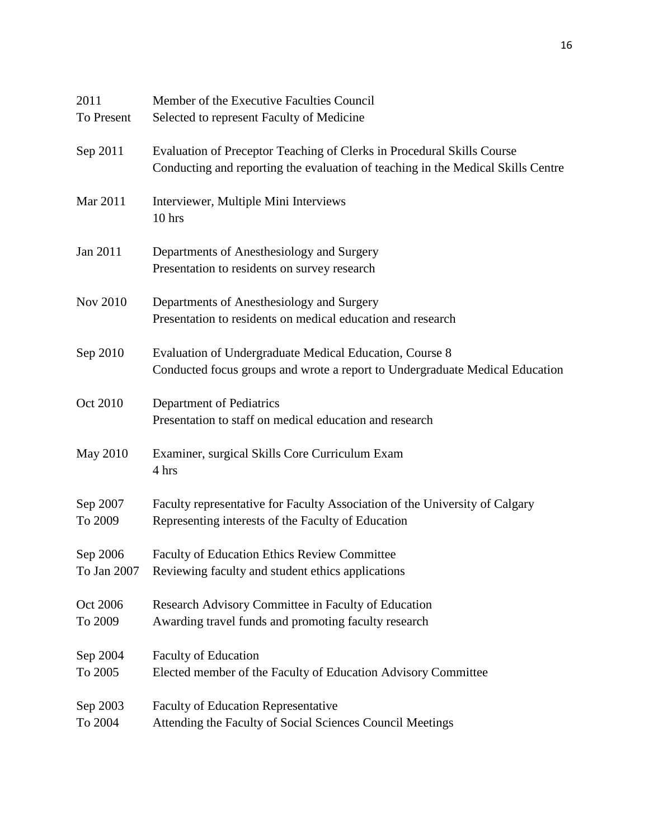| 2011<br>To Present      | Member of the Executive Faculties Council<br>Selected to represent Faculty of Medicine                                                                     |
|-------------------------|------------------------------------------------------------------------------------------------------------------------------------------------------------|
| Sep 2011                | Evaluation of Preceptor Teaching of Clerks in Procedural Skills Course<br>Conducting and reporting the evaluation of teaching in the Medical Skills Centre |
| Mar 2011                | Interviewer, Multiple Mini Interviews<br>10 hrs                                                                                                            |
| Jan 2011                | Departments of Anesthesiology and Surgery<br>Presentation to residents on survey research                                                                  |
| <b>Nov 2010</b>         | Departments of Anesthesiology and Surgery<br>Presentation to residents on medical education and research                                                   |
| Sep 2010                | Evaluation of Undergraduate Medical Education, Course 8<br>Conducted focus groups and wrote a report to Undergraduate Medical Education                    |
| Oct 2010                | Department of Pediatrics<br>Presentation to staff on medical education and research                                                                        |
| <b>May 2010</b>         | Examiner, surgical Skills Core Curriculum Exam<br>4 hrs                                                                                                    |
| Sep 2007<br>To 2009     | Faculty representative for Faculty Association of the University of Calgary<br>Representing interests of the Faculty of Education                          |
| Sep 2006<br>To Jan 2007 | Faculty of Education Ethics Review Committee<br>Reviewing faculty and student ethics applications                                                          |
| Oct 2006<br>To 2009     | Research Advisory Committee in Faculty of Education<br>Awarding travel funds and promoting faculty research                                                |
| Sep 2004<br>To 2005     | <b>Faculty of Education</b><br>Elected member of the Faculty of Education Advisory Committee                                                               |
| Sep 2003<br>To 2004     | <b>Faculty of Education Representative</b><br>Attending the Faculty of Social Sciences Council Meetings                                                    |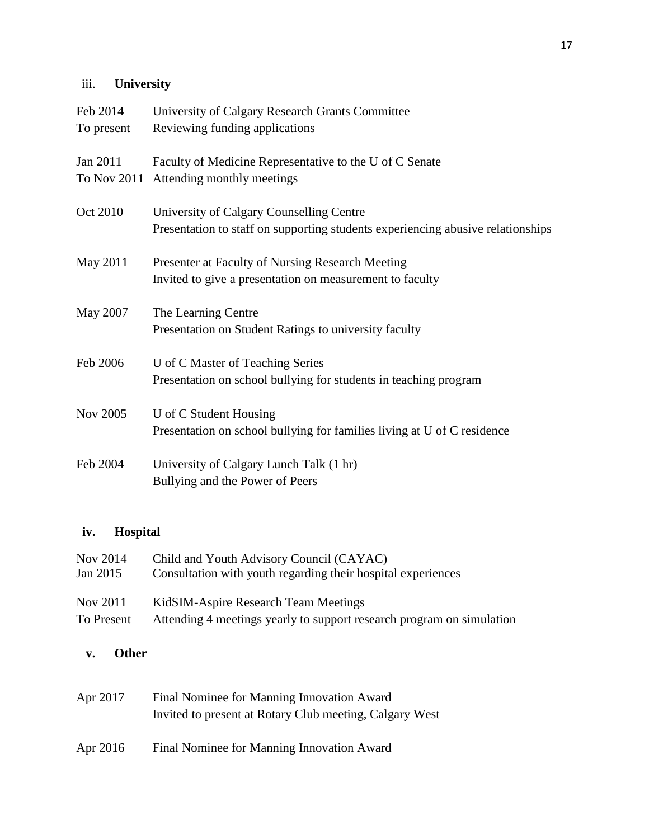# iii. **University**

| Feb 2014   | University of Calgary Research Grants Committee                                 |
|------------|---------------------------------------------------------------------------------|
| To present | Reviewing funding applications                                                  |
| Jan 2011   | Faculty of Medicine Representative to the U of C Senate                         |
|            | To Nov 2011 Attending monthly meetings                                          |
| Oct 2010   | University of Calgary Counselling Centre                                        |
|            | Presentation to staff on supporting students experiencing abusive relationships |
| May 2011   | Presenter at Faculty of Nursing Research Meeting                                |
|            | Invited to give a presentation on measurement to faculty                        |
| May 2007   | The Learning Centre                                                             |
|            | Presentation on Student Ratings to university faculty                           |
| Feb 2006   | U of C Master of Teaching Series                                                |
|            | Presentation on school bullying for students in teaching program                |
| Nov 2005   | U of C Student Housing                                                          |
|            | Presentation on school bullying for families living at U of C residence         |
| Feb 2004   | University of Calgary Lunch Talk (1 hr)                                         |
|            | Bullying and the Power of Peers                                                 |

# **iv. Hospital**

| Nov 2014   | Child and Youth Advisory Council (CAYAC)                              |
|------------|-----------------------------------------------------------------------|
| Jan 2015   | Consultation with youth regarding their hospital experiences          |
| Nov 2011   | KidSIM-Aspire Research Team Meetings                                  |
| To Present | Attending 4 meetings yearly to support research program on simulation |

# **v. Other**

| Apr 2017 | Final Nominee for Manning Innovation Award              |
|----------|---------------------------------------------------------|
|          | Invited to present at Rotary Club meeting, Calgary West |

Apr 2016 Final Nominee for Manning Innovation Award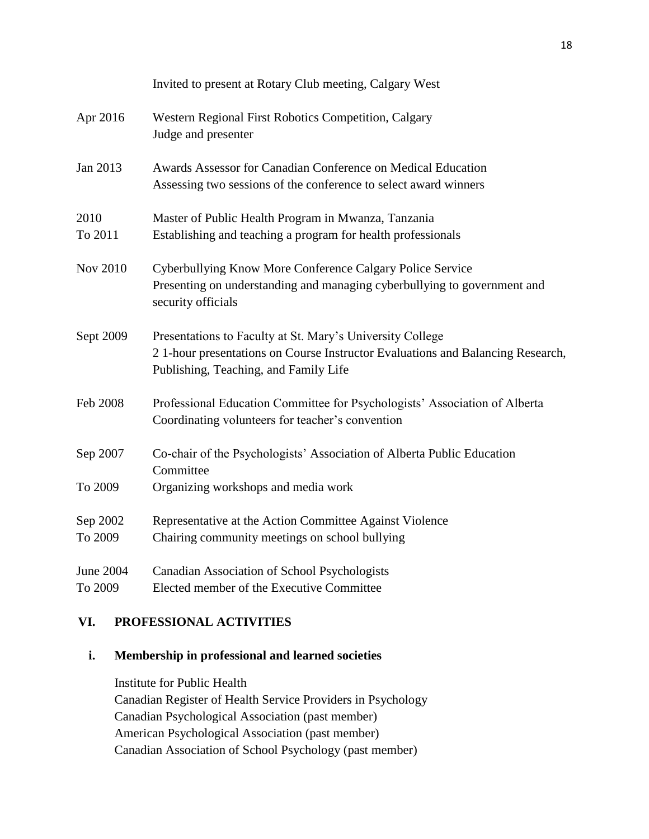|                     | Invited to present at Rotary Club meeting, Calgary West                                                                                                                              |
|---------------------|--------------------------------------------------------------------------------------------------------------------------------------------------------------------------------------|
| Apr 2016            | Western Regional First Robotics Competition, Calgary<br>Judge and presenter                                                                                                          |
| Jan 2013            | Awards Assessor for Canadian Conference on Medical Education<br>Assessing two sessions of the conference to select award winners                                                     |
| 2010<br>To 2011     | Master of Public Health Program in Mwanza, Tanzania<br>Establishing and teaching a program for health professionals                                                                  |
| Nov 2010            | Cyberbullying Know More Conference Calgary Police Service<br>Presenting on understanding and managing cyberbullying to government and<br>security officials                          |
| Sept 2009           | Presentations to Faculty at St. Mary's University College<br>21-hour presentations on Course Instructor Evaluations and Balancing Research,<br>Publishing, Teaching, and Family Life |
| Feb 2008            | Professional Education Committee for Psychologists' Association of Alberta<br>Coordinating volunteers for teacher's convention                                                       |
| Sep 2007            | Co-chair of the Psychologists' Association of Alberta Public Education<br>Committee                                                                                                  |
| To 2009             | Organizing workshops and media work                                                                                                                                                  |
| Sep 2002<br>To 2009 | Representative at the Action Committee Against Violence<br>Chairing community meetings on school bullying                                                                            |
| June 2004           | Canadian Association of School Psychologists                                                                                                                                         |
| To 2009             | Elected member of the Executive Committee                                                                                                                                            |

# **VI. PROFESSIONAL ACTIVITIES**

### **i. Membership in professional and learned societies**

Institute for Public Health Canadian Register of Health Service Providers in Psychology Canadian Psychological Association (past member) American Psychological Association (past member) Canadian Association of School Psychology (past member)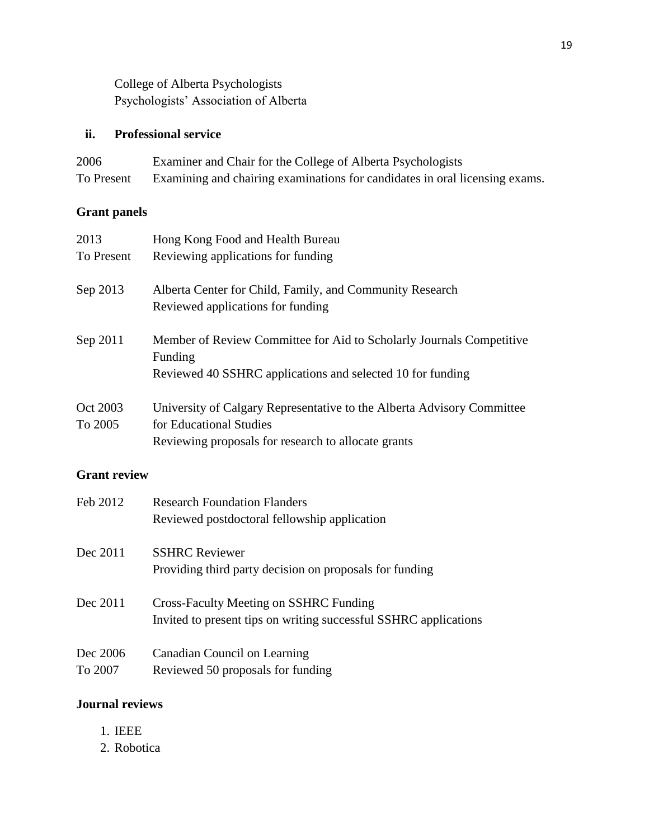College of Alberta Psychologists Psychologists' Association of Alberta

### **ii. Professional service**

| 2006       | Examiner and Chair for the College of Alberta Psychologists                 |
|------------|-----------------------------------------------------------------------------|
| To Present | Examining and chairing examinations for candidates in oral licensing exams. |

# **Grant panels**

| 2013       | Hong Kong Food and Health Bureau                                                                                                              |
|------------|-----------------------------------------------------------------------------------------------------------------------------------------------|
| To Present | Reviewing applications for funding                                                                                                            |
| Sep 2013   | Alberta Center for Child, Family, and Community Research<br>Reviewed applications for funding                                                 |
| Sep 2011   | Member of Review Committee for Aid to Scholarly Journals Competitive<br>Funding<br>Reviewed 40 SSHRC applications and selected 10 for funding |
| Oct 2003   | University of Calgary Representative to the Alberta Advisory Committee                                                                        |
| To 2005    | for Educational Studies                                                                                                                       |
|            | Reviewing proposals for research to allocate grants                                                                                           |

# **Grant review**

| Feb 2012            | <b>Research Foundation Flanders</b><br>Reviewed postdoctoral fellowship application                               |
|---------------------|-------------------------------------------------------------------------------------------------------------------|
| Dec 2011            | <b>SSHRC</b> Reviewer<br>Providing third party decision on proposals for funding                                  |
| Dec 2011            | <b>Cross-Faculty Meeting on SSHRC Funding</b><br>Invited to present tips on writing successful SSHRC applications |
| Dec 2006<br>To 2007 | Canadian Council on Learning<br>Reviewed 50 proposals for funding                                                 |

### **Journal reviews**

- 1. IEEE
- 2. Robotica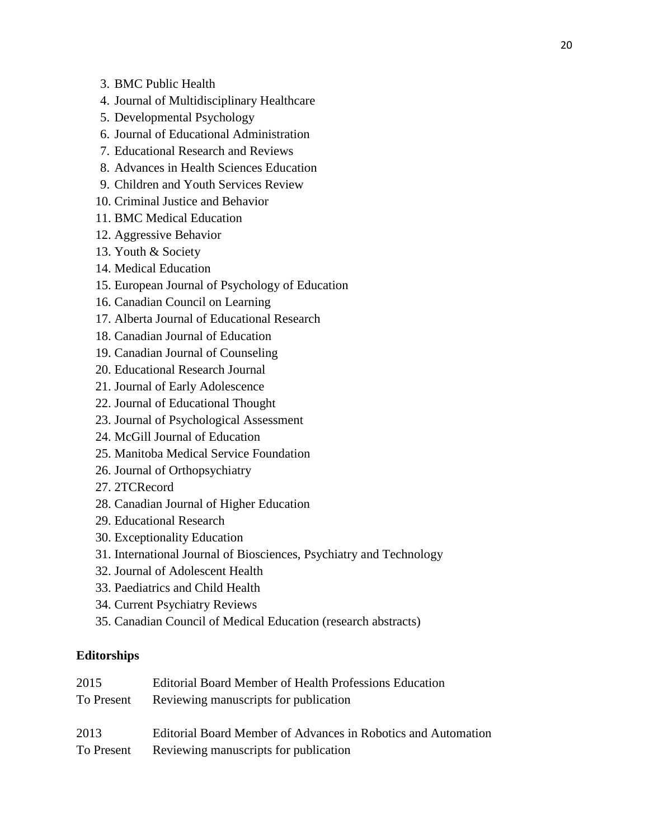- 3. BMC Public Health
- 4. Journal of Multidisciplinary Healthcare
- 5. Developmental Psychology
- 6. Journal of Educational Administration
- 7. Educational Research and Reviews
- 8. Advances in Health Sciences Education
- 9. Children and Youth Services Review
- 10. Criminal Justice and Behavior
- 11. BMC Medical Education
- 12. Aggressive Behavior
- 13. Youth & Society
- 14. Medical Education
- 15. European Journal of Psychology of Education
- 16. Canadian Council on Learning
- 17. Alberta Journal of Educational Research
- 18. Canadian Journal of Education
- 19. Canadian Journal of Counseling
- 20. Educational Research Journal
- 21. Journal of Early Adolescence
- 22. Journal of Educational Thought
- 23. Journal of Psychological Assessment
- 24. McGill Journal of Education
- 25. Manitoba Medical Service Foundation
- 26. Journal of Orthopsychiatry
- 27. 2TCRecord
- 28. Canadian Journal of Higher Education
- 29. Educational Research
- 30. Exceptionality Education
- 31. International Journal of Biosciences, Psychiatry and Technology
- 32. Journal of Adolescent Health
- 33. Paediatrics and Child Health
- 34. Current Psychiatry Reviews
- 35. Canadian Council of Medical Education (research abstracts)

### **Editorships**

| 2015       | <b>Editorial Board Member of Health Professions Education</b> |
|------------|---------------------------------------------------------------|
| To Present | Reviewing manuscripts for publication                         |
|            |                                                               |
| 2013       | Editorial Board Member of Advances in Robotics and Automation |
| To Present | Reviewing manuscripts for publication                         |
|            |                                                               |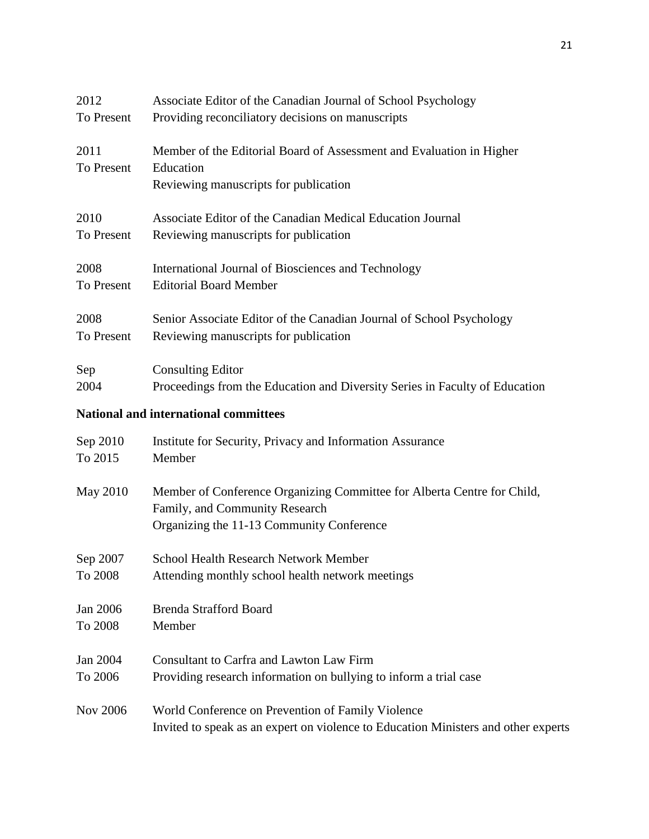| 2012               | Associate Editor of the Canadian Journal of School Psychology                      |
|--------------------|------------------------------------------------------------------------------------|
| To Present         | Providing reconciliatory decisions on manuscripts                                  |
| 2011<br>To Present | Member of the Editorial Board of Assessment and Evaluation in Higher<br>Education  |
|                    | Reviewing manuscripts for publication                                              |
| 2010               | Associate Editor of the Canadian Medical Education Journal                         |
| To Present         | Reviewing manuscripts for publication                                              |
| 2008               | International Journal of Biosciences and Technology                                |
| To Present         | <b>Editorial Board Member</b>                                                      |
| 2008               | Senior Associate Editor of the Canadian Journal of School Psychology               |
| To Present         | Reviewing manuscripts for publication                                              |
| Sep                | <b>Consulting Editor</b>                                                           |
| 2004               | Proceedings from the Education and Diversity Series in Faculty of Education        |
|                    | National and international committees                                              |
| Sep 2010           | Institute for Security, Privacy and Information Assurance                          |
| To 2015            | Member                                                                             |
| <b>May 2010</b>    | Member of Conference Organizing Committee for Alberta Centre for Child,            |
|                    | Family, and Community Research                                                     |
|                    | Organizing the 11-13 Community Conference                                          |
| Sep 2007           | <b>School Health Research Network Member</b>                                       |
| To 2008            | Attending monthly school health network meetings                                   |
| Jan 2006           | <b>Brenda Strafford Board</b>                                                      |
| To 2008            | Member                                                                             |
| Jan 2004           | <b>Consultant to Carfra and Lawton Law Firm</b>                                    |
| To 2006            | Providing research information on bullying to inform a trial case                  |
| <b>Nov 2006</b>    | World Conference on Prevention of Family Violence                                  |
|                    | Invited to speak as an expert on violence to Education Ministers and other experts |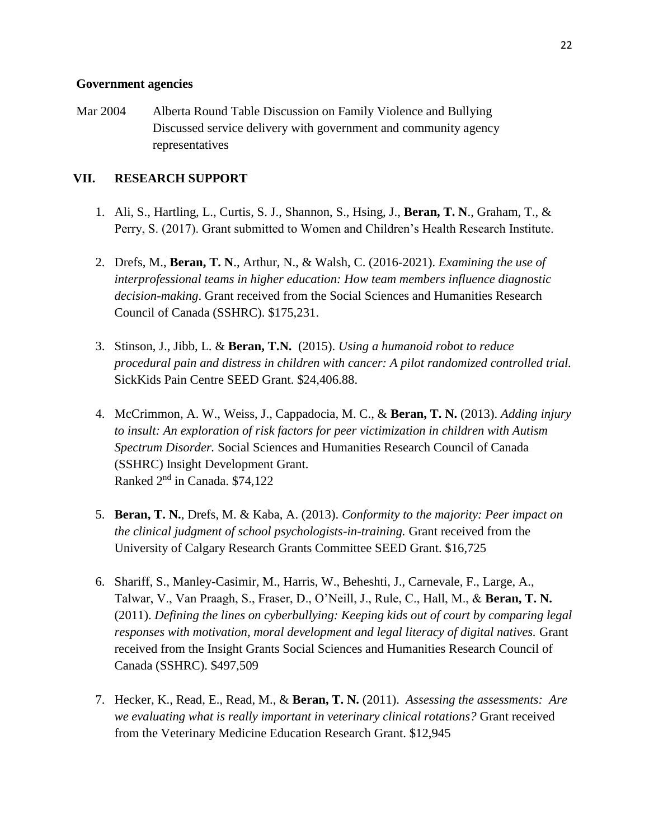#### **Government agencies**

Mar 2004 Alberta Round Table Discussion on Family Violence and Bullying Discussed service delivery with government and community agency representatives

### **VII. RESEARCH SUPPORT**

- 1. Ali, S., Hartling, L., Curtis, S. J., Shannon, S., Hsing, J., **Beran, T. N**., Graham, T., & Perry, S. (2017). Grant submitted to Women and Children's Health Research Institute.
- 2. Drefs, M., **Beran, T. N**., Arthur, N., & Walsh, C. (2016-2021). *Examining the use of interprofessional teams in higher education: How team members influence diagnostic decision-making*. Grant received from the Social Sciences and Humanities Research Council of Canada (SSHRC). \$175,231.
- 3. Stinson, J., Jibb, L. & **Beran, T.N.** (2015). *Using a humanoid robot to reduce procedural pain and distress in children with cancer: A pilot randomized controlled trial.*  SickKids Pain Centre SEED Grant. \$24,406.88.
- 4. McCrimmon, A. W., Weiss, J., Cappadocia, M. C., & **Beran, T. N.** (2013). *Adding injury to insult: An exploration of risk factors for peer victimization in children with Autism Spectrum Disorder.* Social Sciences and Humanities Research Council of Canada (SSHRC) Insight Development Grant. Ranked 2nd in Canada. \$74,122
- 5. **Beran, T. N.**, Drefs, M. & Kaba, A. (2013). *Conformity to the majority: Peer impact on the clinical judgment of school psychologists-in-training.* Grant received from the University of Calgary Research Grants Committee SEED Grant. \$16,725
- 6. Shariff, S., Manley-Casimir, M., Harris, W., Beheshti, J., Carnevale, F., Large, A., Talwar, V., Van Praagh, S., Fraser, D., O'Neill, J., Rule, C., Hall, M., & **Beran, T. N.** (2011). *Defining the lines on cyberbullying: Keeping kids out of court by comparing legal responses with motivation, moral development and legal literacy of digital natives.* Grant received from the Insight Grants Social Sciences and Humanities Research Council of Canada (SSHRC). \$497,509
- 7. Hecker, K., Read, E., Read, M., & **Beran, T. N.** (2011). *Assessing the assessments: Are we evaluating what is really important in veterinary clinical rotations?* Grant received from the Veterinary Medicine Education Research Grant. \$12,945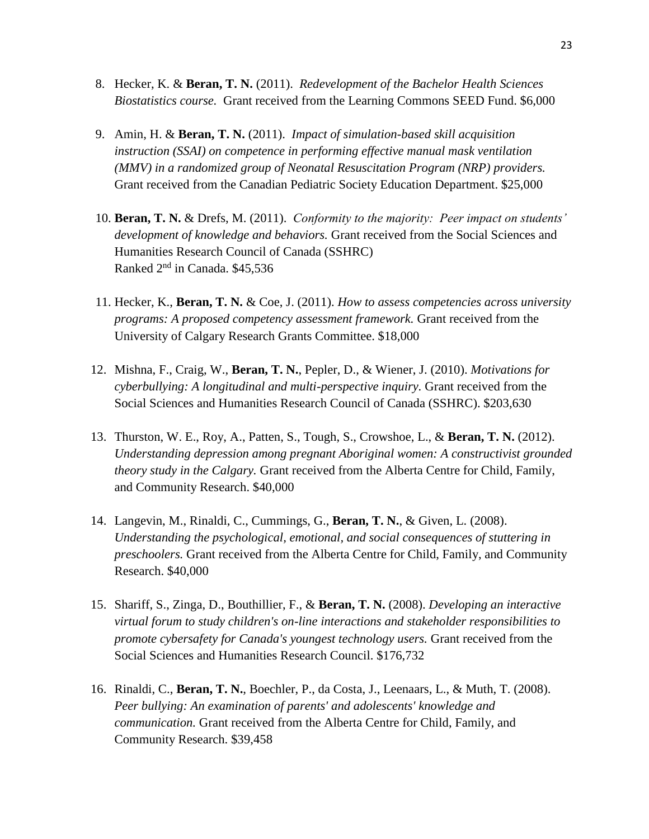- 8. Hecker, K. & **Beran, T. N.** (2011). *Redevelopment of the Bachelor Health Sciences Biostatistics course.* Grant received from the Learning Commons SEED Fund. \$6,000
- 9. Amin, H. & **Beran, T. N.** (2011). *Impact of simulation-based skill acquisition instruction (SSAI) on competence in performing effective manual mask ventilation (MMV) in a randomized group of Neonatal Resuscitation Program (NRP) providers.* Grant received from the Canadian Pediatric Society Education Department. \$25,000
- 10. **Beran, T. N.** & Drefs, M. (2011). *Conformity to the majority: Peer impact on students' development of knowledge and behaviors.* Grant received from the Social Sciences and Humanities Research Council of Canada (SSHRC) Ranked 2nd in Canada. \$45,536
- 11. Hecker, K., **Beran, T. N.** & Coe, J. (2011). *How to assess competencies across university programs: A proposed competency assessment framework.* Grant received from the University of Calgary Research Grants Committee. \$18,000
- 12. Mishna, F., Craig, W., **Beran, T. N.**, Pepler, D., & Wiener, J. (2010). *Motivations for cyberbullying: A longitudinal and multi-perspective inquiry.* Grant received from the Social Sciences and Humanities Research Council of Canada (SSHRC). \$203,630
- 13. Thurston, W. E., Roy, A., Patten, S., Tough, S., Crowshoe, L., & **Beran, T. N.** (2012). *Understanding depression among pregnant Aboriginal women: A constructivist grounded theory study in the Calgary.* Grant received from the Alberta Centre for Child, Family, and Community Research. \$40,000
- 14. Langevin, M., Rinaldi, C., Cummings, G., **Beran, T. N.**, & Given, L. (2008). *Understanding the psychological, emotional, and social consequences of stuttering in preschoolers.* Grant received from the Alberta Centre for Child, Family, and Community Research. \$40,000
- 15. Shariff, S., Zinga, D., Bouthillier, F., & **Beran, T. N.** (2008). *Developing an interactive virtual forum to study children's on-line interactions and stakeholder responsibilities to promote cybersafety for Canada's youngest technology users.* Grant received from the Social Sciences and Humanities Research Council. \$176,732
- 16. Rinaldi, C., **Beran, T. N.**, Boechler, P., da Costa, J., Leenaars, L., & Muth, T. (2008). *Peer bullying: An examination of parents' and adolescents' knowledge and communication.* Grant received from the Alberta Centre for Child, Family, and Community Research. \$39,458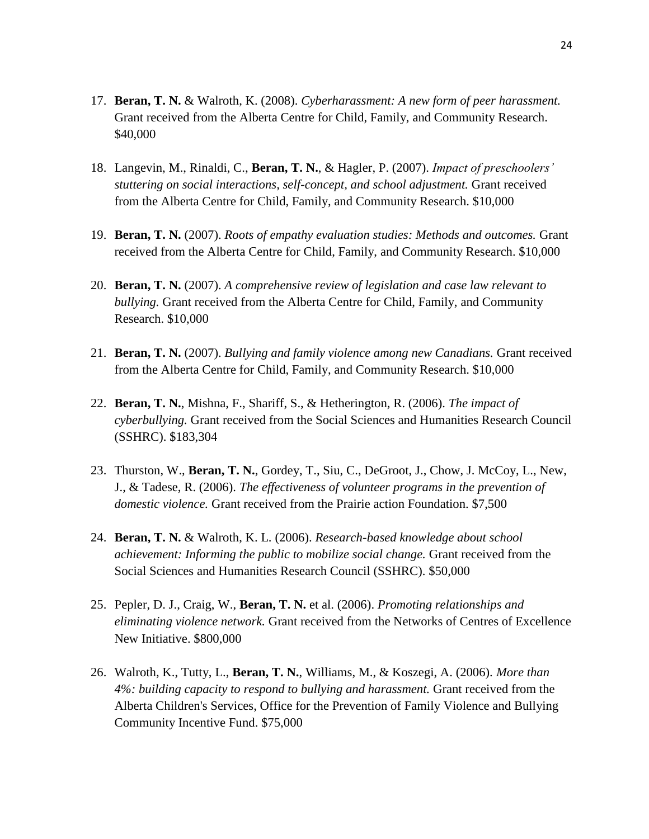- 17. **Beran, T. N.** & Walroth, K. (2008). *Cyberharassment: A new form of peer harassment.* Grant received from the Alberta Centre for Child, Family, and Community Research. \$40,000
- 18. Langevin, M., Rinaldi, C., **Beran, T. N.**, & Hagler, P. (2007). *Impact of preschoolers' stuttering on social interactions, self-concept, and school adjustment.* Grant received from the Alberta Centre for Child, Family, and Community Research. \$10,000
- 19. **Beran, T. N.** (2007). *Roots of empathy evaluation studies: Methods and outcomes.* Grant received from the Alberta Centre for Child, Family, and Community Research. \$10,000
- 20. **Beran, T. N.** (2007). *A comprehensive review of legislation and case law relevant to bullying.* Grant received from the Alberta Centre for Child, Family, and Community Research. \$10,000
- 21. **Beran, T. N.** (2007). *Bullying and family violence among new Canadians.* Grant received from the Alberta Centre for Child, Family, and Community Research. \$10,000
- 22. **Beran, T. N.**, Mishna, F., Shariff, S., & Hetherington, R. (2006). *The impact of cyberbullying.* Grant received from the Social Sciences and Humanities Research Council (SSHRC). \$183,304
- 23. Thurston, W., **Beran, T. N.**, Gordey, T., Siu, C., DeGroot, J., Chow, J. McCoy, L., New, J., & Tadese, R. (2006). *The effectiveness of volunteer programs in the prevention of domestic violence.* Grant received from the Prairie action Foundation. \$7,500
- 24. **Beran, T. N.** & Walroth, K. L. (2006). *Research-based knowledge about school achievement: Informing the public to mobilize social change.* Grant received from the Social Sciences and Humanities Research Council (SSHRC). \$50,000
- 25. Pepler, D. J., Craig, W., **Beran, T. N.** et al. (2006). *Promoting relationships and eliminating violence network.* Grant received from the Networks of Centres of Excellence New Initiative. \$800,000
- 26. Walroth, K., Tutty, L., **Beran, T. N.**, Williams, M., & Koszegi, A. (2006). *More than 4%: building capacity to respond to bullying and harassment.* Grant received from the Alberta Children's Services, Office for the Prevention of Family Violence and Bullying Community Incentive Fund. \$75,000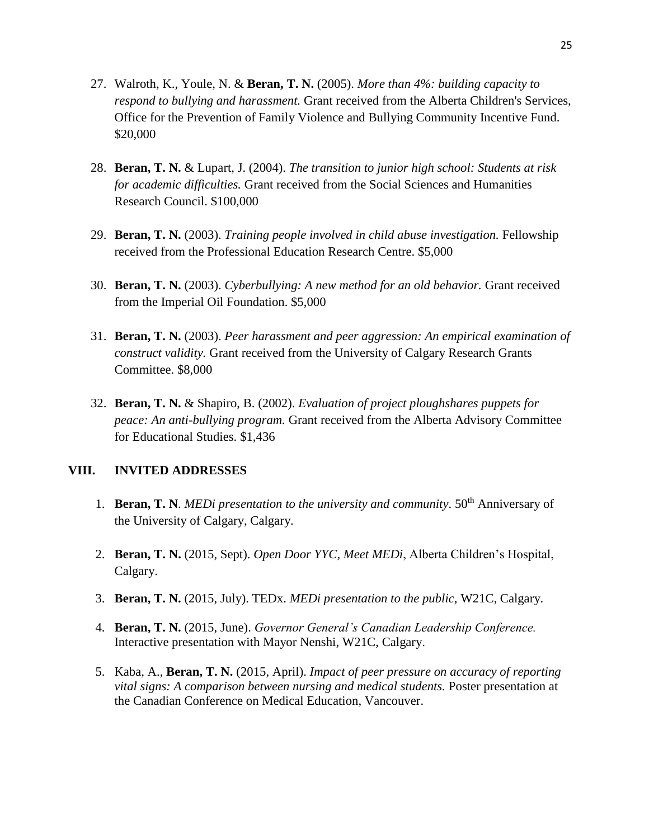- 27. Walroth, K., Youle, N. & **Beran, T. N.** (2005). *More than 4%: building capacity to respond to bullying and harassment.* Grant received from the Alberta Children's Services, Office for the Prevention of Family Violence and Bullying Community Incentive Fund. \$20,000
- 28. **Beran, T. N.** & Lupart, J. (2004). *The transition to junior high school: Students at risk for academic difficulties.* Grant received from the Social Sciences and Humanities Research Council. \$100,000
- 29. **Beran, T. N.** (2003). *Training people involved in child abuse investigation.* Fellowship received from the Professional Education Research Centre. \$5,000
- 30. **Beran, T. N.** (2003). *Cyberbullying: A new method for an old behavior.* Grant received from the Imperial Oil Foundation. \$5,000
- 31. **Beran, T. N.** (2003). *Peer harassment and peer aggression: An empirical examination of construct validity.* Grant received from the University of Calgary Research Grants Committee. \$8,000
- 32. **Beran, T. N.** & Shapiro, B. (2002). *Evaluation of project ploughshares puppets for peace: An anti-bullying program.* Grant received from the Alberta Advisory Committee for Educational Studies. \$1,436

### **VIII. INVITED ADDRESSES**

- 1. **Beran, T. N**. *MEDi presentation to the university and community*. 50<sup>th</sup> Anniversary of the University of Calgary, Calgary.
- 2. **Beran, T. N.** (2015, Sept). *Open Door YYC, Meet MEDi*, Alberta Children's Hospital, Calgary.
- 3. **Beran, T. N.** (2015, July). TEDx. *MEDi presentation to the public*, W21C, Calgary.
- 4. **Beran, T. N.** (2015, June). *Governor General's Canadian Leadership Conference.* Interactive presentation with Mayor Nenshi, W21C, Calgary.
- 5. Kaba, A., **Beran, T. N.** (2015, April). *Impact of peer pressure on accuracy of reporting vital signs: A comparison between nursing and medical students.* Poster presentation at the Canadian Conference on Medical Education, Vancouver.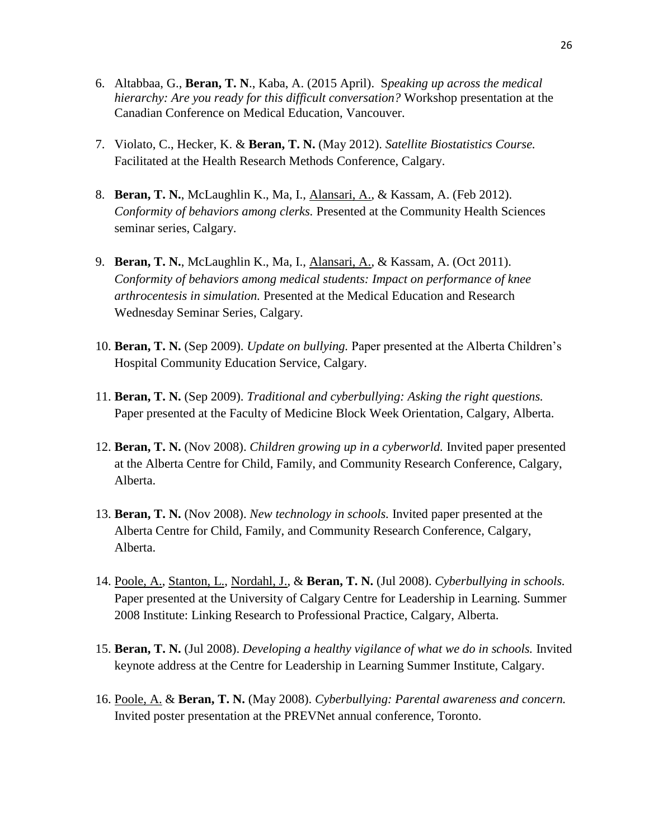- 6. Altabbaa, G., **Beran, T. N**., Kaba, A. (2015 April). S*peaking up across the medical hierarchy: Are you ready for this difficult conversation?* Workshop presentation at the Canadian Conference on Medical Education, Vancouver.
- 7. Violato, C., Hecker, K. & **Beran, T. N.** (May 2012). *Satellite Biostatistics Course.* Facilitated at the Health Research Methods Conference, Calgary.
- 8. **Beran, T. N.**, McLaughlin K., Ma, I., Alansari, A., & Kassam, A. (Feb 2012). *Conformity of behaviors among clerks.* Presented at the Community Health Sciences seminar series, Calgary.
- 9. **Beran, T. N.**, McLaughlin K., Ma, I., Alansari, A., & Kassam, A. (Oct 2011). *Conformity of behaviors among medical students: Impact on performance of knee arthrocentesis in simulation.* Presented at the Medical Education and Research Wednesday Seminar Series, Calgary.
- 10. **Beran, T. N.** (Sep 2009). *Update on bullying.* Paper presented at the Alberta Children's Hospital Community Education Service, Calgary.
- 11. **Beran, T. N.** (Sep 2009). *Traditional and cyberbullying: Asking the right questions.* Paper presented at the Faculty of Medicine Block Week Orientation, Calgary, Alberta.
- 12. **Beran, T. N.** (Nov 2008). *Children growing up in a cyberworld.* Invited paper presented at the Alberta Centre for Child, Family, and Community Research Conference, Calgary, Alberta.
- 13. **Beran, T. N.** (Nov 2008). *New technology in schools.* Invited paper presented at the Alberta Centre for Child, Family, and Community Research Conference, Calgary, Alberta.
- 14. Poole, A., Stanton, L., Nordahl, J., & **Beran, T. N.** (Jul 2008). *Cyberbullying in schools.* Paper presented at the University of Calgary Centre for Leadership in Learning. Summer 2008 Institute: Linking Research to Professional Practice, Calgary, Alberta.
- 15. **Beran, T. N.** (Jul 2008). *Developing a healthy vigilance of what we do in schools.* Invited keynote address at the Centre for Leadership in Learning Summer Institute, Calgary.
- 16. Poole, A. & **Beran, T. N.** (May 2008). *Cyberbullying: Parental awareness and concern.* Invited poster presentation at the PREVNet annual conference, Toronto.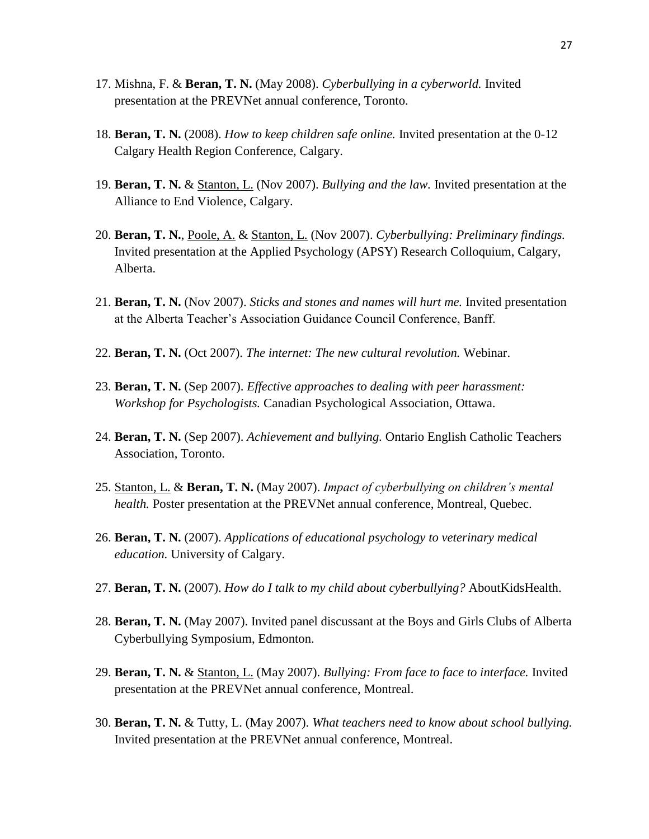- 17. Mishna, F. & **Beran, T. N.** (May 2008). *Cyberbullying in a cyberworld.* Invited presentation at the PREVNet annual conference, Toronto.
- 18. **Beran, T. N.** (2008). *How to keep children safe online.* Invited presentation at the 0-12 Calgary Health Region Conference, Calgary.
- 19. **Beran, T. N.** & Stanton, L. (Nov 2007). *Bullying and the law.* Invited presentation at the Alliance to End Violence, Calgary.
- 20. **Beran, T. N.**, Poole, A. & Stanton, L. (Nov 2007). *Cyberbullying: Preliminary findings.* Invited presentation at the Applied Psychology (APSY) Research Colloquium, Calgary, Alberta.
- 21. **Beran, T. N.** (Nov 2007). *Sticks and stones and names will hurt me.* Invited presentation at the Alberta Teacher's Association Guidance Council Conference, Banff.
- 22. **Beran, T. N.** (Oct 2007). *The internet: The new cultural revolution.* Webinar.
- 23. **Beran, T. N.** (Sep 2007). *Effective approaches to dealing with peer harassment: Workshop for Psychologists.* Canadian Psychological Association, Ottawa.
- 24. **Beran, T. N.** (Sep 2007). *Achievement and bullying.* Ontario English Catholic Teachers Association, Toronto.
- 25. Stanton, L. & **Beran, T. N.** (May 2007). *Impact of cyberbullying on children's mental health.* Poster presentation at the PREVNet annual conference, Montreal, Quebec.
- 26. **Beran, T. N.** (2007). *Applications of educational psychology to veterinary medical education.* University of Calgary.
- 27. **Beran, T. N.** (2007). *How do I talk to my child about cyberbullying?* AboutKidsHealth.
- 28. **Beran, T. N.** (May 2007). Invited panel discussant at the Boys and Girls Clubs of Alberta Cyberbullying Symposium, Edmonton.
- 29. **Beran, T. N.** & Stanton, L. (May 2007). *Bullying: From face to face to interface.* Invited presentation at the PREVNet annual conference, Montreal.
- 30. **Beran, T. N.** & Tutty, L. (May 2007). *What teachers need to know about school bullying.* Invited presentation at the PREVNet annual conference, Montreal.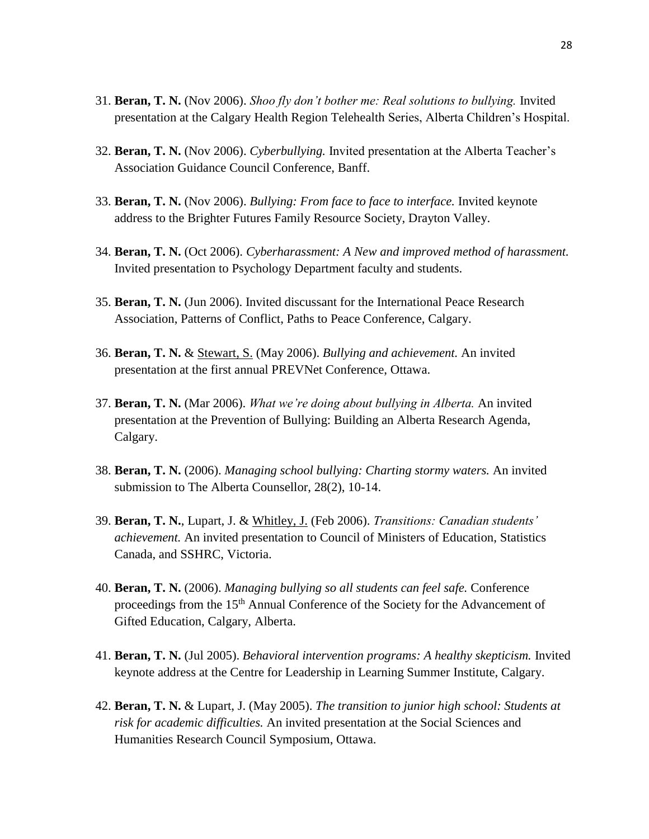- 31. **Beran, T. N.** (Nov 2006). *Shoo fly don't bother me: Real solutions to bullying.* Invited presentation at the Calgary Health Region Telehealth Series, Alberta Children's Hospital.
- 32. **Beran, T. N.** (Nov 2006). *Cyberbullying.* Invited presentation at the Alberta Teacher's Association Guidance Council Conference, Banff.
- 33. **Beran, T. N.** (Nov 2006). *Bullying: From face to face to interface.* Invited keynote address to the Brighter Futures Family Resource Society, Drayton Valley.
- 34. **Beran, T. N.** (Oct 2006). *Cyberharassment: A New and improved method of harassment.* Invited presentation to Psychology Department faculty and students.
- 35. **Beran, T. N.** (Jun 2006). Invited discussant for the International Peace Research Association, Patterns of Conflict, Paths to Peace Conference, Calgary.
- 36. **Beran, T. N.** & Stewart, S. (May 2006). *Bullying and achievement.* An invited presentation at the first annual PREVNet Conference, Ottawa.
- 37. **Beran, T. N.** (Mar 2006). *What we're doing about bullying in Alberta.* An invited presentation at the Prevention of Bullying: Building an Alberta Research Agenda, Calgary.
- 38. **Beran, T. N.** (2006). *Managing school bullying: Charting stormy waters.* An invited submission to The Alberta Counsellor, 28(2), 10-14.
- 39. **Beran, T. N.**, Lupart, J. & Whitley, J. (Feb 2006). *Transitions: Canadian students' achievement.* An invited presentation to Council of Ministers of Education, Statistics Canada, and SSHRC, Victoria.
- 40. **Beran, T. N.** (2006). *Managing bullying so all students can feel safe.* Conference proceedings from the 15<sup>th</sup> Annual Conference of the Society for the Advancement of Gifted Education, Calgary, Alberta.
- 41. **Beran, T. N.** (Jul 2005). *Behavioral intervention programs: A healthy skepticism.* Invited keynote address at the Centre for Leadership in Learning Summer Institute, Calgary.
- 42. **Beran, T. N.** & Lupart, J. (May 2005). *The transition to junior high school: Students at risk for academic difficulties.* An invited presentation at the Social Sciences and Humanities Research Council Symposium, Ottawa.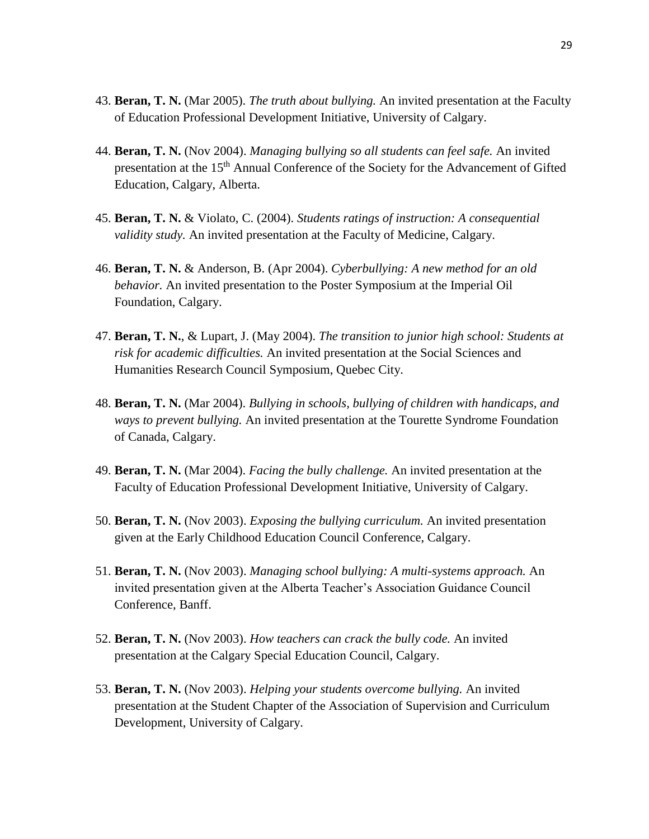- 43. **Beran, T. N.** (Mar 2005). *The truth about bullying.* An invited presentation at the Faculty of Education Professional Development Initiative, University of Calgary.
- 44. **Beran, T. N.** (Nov 2004). *Managing bullying so all students can feel safe.* An invited presentation at the 15<sup>th</sup> Annual Conference of the Society for the Advancement of Gifted Education, Calgary, Alberta.
- 45. **Beran, T. N.** & Violato, C. (2004). *Students ratings of instruction: A consequential validity study.* An invited presentation at the Faculty of Medicine, Calgary.
- 46. **Beran, T. N.** & Anderson, B. (Apr 2004). *Cyberbullying: A new method for an old behavior.* An invited presentation to the Poster Symposium at the Imperial Oil Foundation, Calgary.
- 47. **Beran, T. N.**, & Lupart, J. (May 2004). *The transition to junior high school: Students at risk for academic difficulties.* An invited presentation at the Social Sciences and Humanities Research Council Symposium, Quebec City.
- 48. **Beran, T. N.** (Mar 2004). *Bullying in schools, bullying of children with handicaps, and ways to prevent bullying.* An invited presentation at the Tourette Syndrome Foundation of Canada, Calgary.
- 49. **Beran, T. N.** (Mar 2004). *Facing the bully challenge.* An invited presentation at the Faculty of Education Professional Development Initiative, University of Calgary.
- 50. **Beran, T. N.** (Nov 2003). *Exposing the bullying curriculum.* An invited presentation given at the Early Childhood Education Council Conference, Calgary.
- 51. **Beran, T. N.** (Nov 2003). *Managing school bullying: A multi-systems approach.* An invited presentation given at the Alberta Teacher's Association Guidance Council Conference, Banff.
- 52. **Beran, T. N.** (Nov 2003). *How teachers can crack the bully code.* An invited presentation at the Calgary Special Education Council, Calgary.
- 53. **Beran, T. N.** (Nov 2003). *Helping your students overcome bullying.* An invited presentation at the Student Chapter of the Association of Supervision and Curriculum Development, University of Calgary.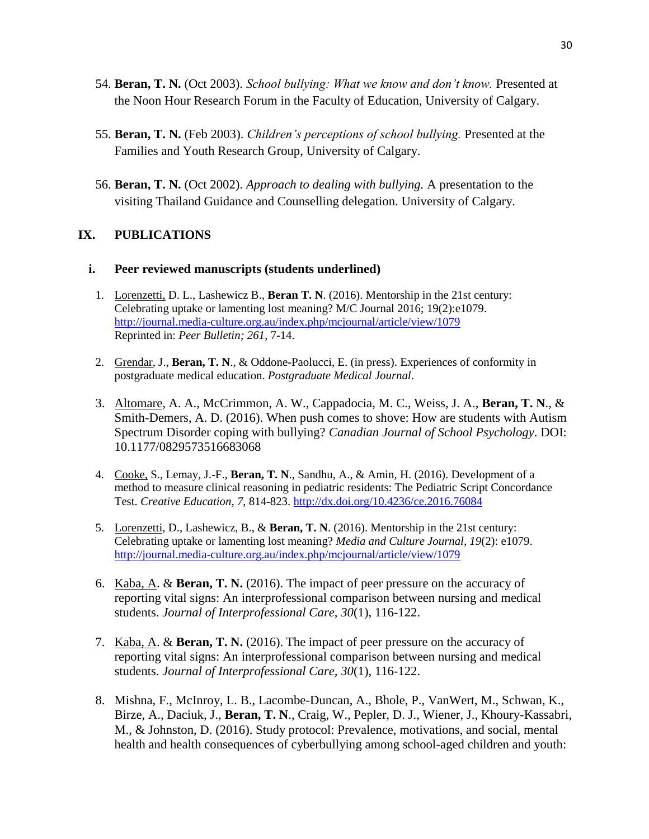- 54. **Beran, T. N.** (Oct 2003). *School bullying: What we know and don't know.* Presented at the Noon Hour Research Forum in the Faculty of Education, University of Calgary.
- 55. **Beran, T. N.** (Feb 2003). *Children's perceptions of school bullying.* Presented at the Families and Youth Research Group, University of Calgary.
- 56. **Beran, T. N.** (Oct 2002). *Approach to dealing with bullying.* A presentation to the visiting Thailand Guidance and Counselling delegation. University of Calgary.

### **IX. PUBLICATIONS**

#### **i. Peer reviewed manuscripts (students underlined)**

- 1. Lorenzetti, D. L., Lashewicz B., **Beran T. N**. (2016). Mentorship in the 21st century: Celebrating uptake or lamenting lost meaning? M/C Journal 2016; 19(2):e1079. <http://journal.media-culture.org.au/index.php/mcjournal/article/view/1079> Reprinted in: *Peer Bulletin; 261*, 7-14.
- 2. Grendar, J., **Beran, T. N**., & Oddone-Paolucci, E. (in press). Experiences of conformity in postgraduate medical education. *Postgraduate Medical Journal*.
- 3. Altomare, A. A., McCrimmon, A. W., Cappadocia, M. C., Weiss, J. A., **Beran, T. N**., & Smith-Demers, A. D. (2016). When push comes to shove: How are students with Autism Spectrum Disorder coping with bullying? *Canadian Journal of School Psychology*. DOI: 10.1177/0829573516683068
- 4. Cooke, S., Lemay, J.-F., **Beran, T. N**., Sandhu, A., & Amin, H. (2016). Development of a method to measure clinical reasoning in pediatric residents: The Pediatric Script Concordance Test. *Creative Education, 7*, 814-823.<http://dx.doi.org/10.4236/ce.2016.76084>
- 5. Lorenzetti, D., Lashewicz, B., & **Beran, T. N**. (2016). Mentorship in the 21st century: Celebrating uptake or lamenting lost meaning? *Media and Culture Journal, 19*(2): e1079. <http://journal.media-culture.org.au/index.php/mcjournal/article/view/1079>
- 6. Kaba, A. & **Beran, T. N.** (2016). The impact of peer pressure on the accuracy of reporting vital signs: An interprofessional comparison between nursing and medical students. *Journal of Interprofessional Care, 30*(1), 116-122.
- 7. Kaba, A. & **Beran, T. N.** (2016). The impact of peer pressure on the accuracy of reporting vital signs: An interprofessional comparison between nursing and medical students. *Journal of Interprofessional Care, 30*(1), 116-122.
- 8. Mishna, F., McInroy, L. B., Lacombe-Duncan, A., Bhole, P., VanWert, M., Schwan, K., Birze, A., Daciuk, J., **Beran, T. N**., Craig, W., Pepler, D. J., Wiener, J., Khoury-Kassabri, M., & Johnston, D. (2016). Study protocol: Prevalence, motivations, and social, mental health and health consequences of cyberbullying among school-aged children and youth: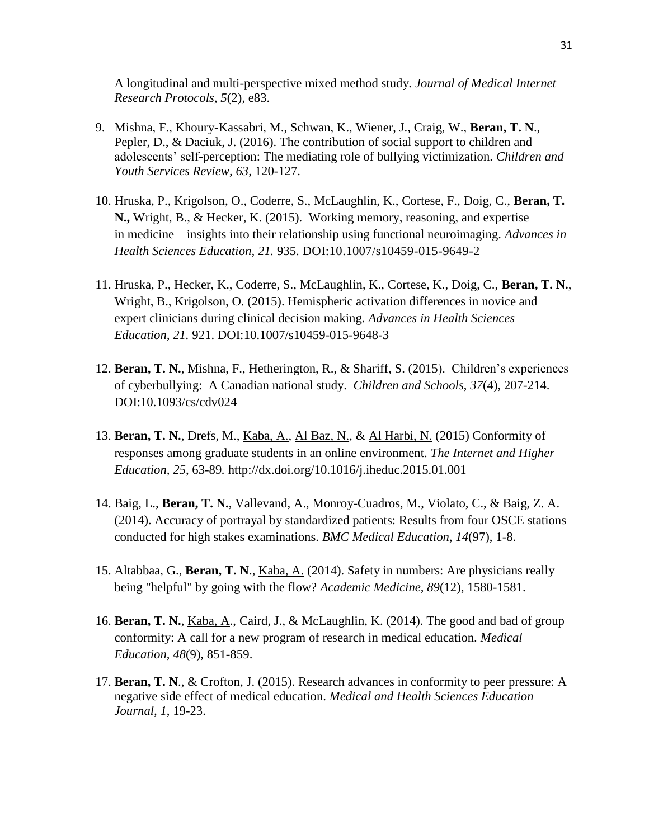A longitudinal and multi-perspective mixed method study*. Journal of Medical Internet Research Protocols, 5*(2), e83.

- 9. Mishna, F., Khoury-Kassabri, M., Schwan, K., Wiener, J., Craig, W., **Beran, T. N**., Pepler, D., & Daciuk, J. (2016). The contribution of social support to children and adolescents' self-perception: The mediating role of bullying victimization. *Children and Youth Services Review, 63*, 120-127.
- 10. Hruska, P., Krigolson, O., Coderre, S., McLaughlin, K., Cortese, F., Doig, C., **Beran, T. N.,** Wright, B., & Hecker, K. (2015). Working memory, reasoning, and expertise in medicine – insights into their relationship using functional neuroimaging. *Advances in Health Sciences Education, 21.* 935. DOI:10.1007/s10459-015-9649-2
- 11. Hruska, P., Hecker, K., Coderre, S., McLaughlin, K., Cortese, K., Doig, C., **Beran, T. N.**, Wright, B., Krigolson, O. (2015). Hemispheric activation differences in novice and expert clinicians during clinical decision making. *Advances in Health Sciences Education, 21.* 921. DOI:10.1007/s10459-015-9648-3
- 12. **Beran, T. N.**, Mishna, F., Hetherington, R., & Shariff, S. (2015). Children's experiences of cyberbullying: A Canadian national study. *Children and Schools*, *37*(4), 207-214. DOI:10.1093/cs/cdv024
- 13. **Beran, T. N.**, Drefs, M., Kaba, A., Al Baz, N., & Al Harbi, N. (2015) Conformity of responses among graduate students in an online environment. *The Internet and Higher Education, 25*, 63-89*.* http://dx.doi.org/10.1016/j.iheduc.2015.01.001
- 14. Baig, L., **Beran, T. N.**, Vallevand, A., Monroy-Cuadros, M., Violato, C., & Baig, Z. A. (2014). Accuracy of portrayal by standardized patients: Results from four OSCE stations conducted for high stakes examinations. *BMC Medical Education*, *14*(97), 1-8.
- 15. Altabbaa, G., **Beran, T. N**., Kaba, A. (2014). Safety in numbers: Are physicians really being "helpful" by going with the flow? *Academic Medicine, 89*(12), 1580-1581.
- 16. **Beran, T. N.**, Kaba, A., Caird, J., & McLaughlin, K. (2014). The good and bad of group conformity: A call for a new program of research in medical education. *Medical Education, 48*(9), 851-859.
- 17. **Beran, T. N**., & Crofton, J. (2015). Research advances in conformity to peer pressure: A negative side effect of medical education. *Medical and Health Sciences Education Journal, 1*, 19-23.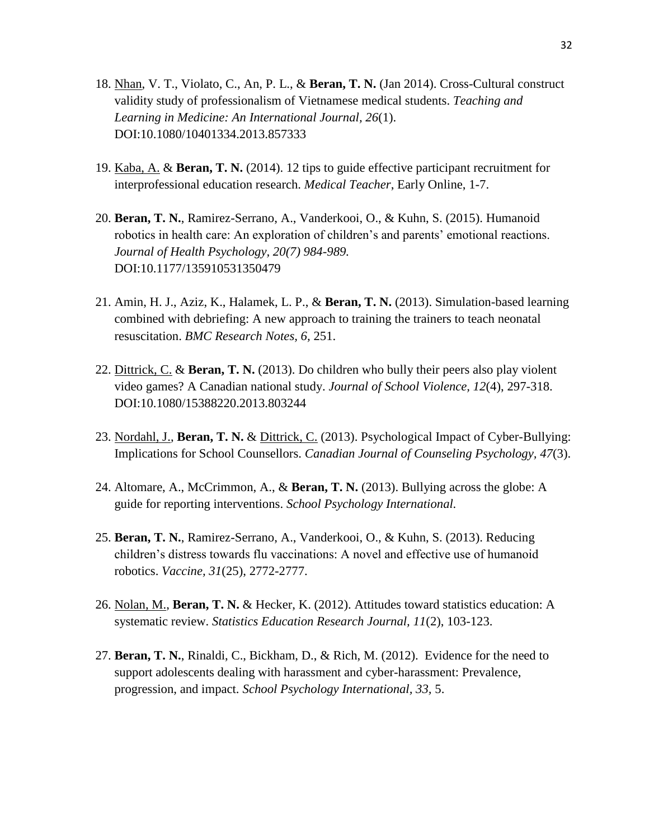- 18. Nhan, V. T., Violato, C., An, P. L., & **Beran, T. N.** (Jan 2014). Cross-Cultural construct validity study of professionalism of Vietnamese medical students. *Teaching and Learning in Medicine: An International Journal, 26*(1). DOI:10.1080/10401334.2013.857333
- 19. Kaba, A. & **Beran, T. N.** (2014). 12 tips to guide effective participant recruitment for interprofessional education research. *Medical Teacher*, Early Online, 1-7.
- 20. **Beran, T. N.**, Ramirez-Serrano, A., Vanderkooi, O., & Kuhn, S. (2015). Humanoid robotics in health care: An exploration of children's and parents' emotional reactions. *Journal of Health Psychology, 20(7) 984-989.* DOI:10.1177/135910531350479
- 21. Amin, H. J., Aziz, K., Halamek, L. P., & **Beran, T. N.** (2013). Simulation-based learning combined with debriefing: A new approach to training the trainers to teach neonatal resuscitation. *BMC Research Notes, 6,* 251.
- 22. Dittrick, C. & **Beran, T. N.** (2013). Do children who bully their peers also play violent video games? A Canadian national study. *Journal of School Violence, 12*(4), 297-318. DOI:10.1080/15388220.2013.803244
- 23. Nordahl, J., **Beran, T. N.** & Dittrick, C. (2013). Psychological Impact of Cyber-Bullying: Implications for School Counsellors. *Canadian Journal of Counseling Psychology, 47*(3).
- 24. Altomare, A., McCrimmon, A., & **Beran, T. N.** (2013). Bullying across the globe: A guide for reporting interventions. *School Psychology International.*
- 25. **Beran, T. N.**, Ramirez-Serrano, A., Vanderkooi, O., & Kuhn, S. (2013). Reducing children's distress towards flu vaccinations: A novel and effective use of humanoid robotics. *Vaccine, 31*(25), 2772-2777.
- 26. Nolan, M., **Beran, T. N.** & Hecker, K. (2012). Attitudes toward statistics education: A systematic review. *Statistics Education Research Journal, 11*(2), 103-123.
- 27. **Beran, T. N.**, Rinaldi, C., Bickham, D., & Rich, M. (2012). Evidence for the need to support adolescents dealing with harassment and cyber-harassment: Prevalence, progression, and impact. *School Psychology International, 33,* 5.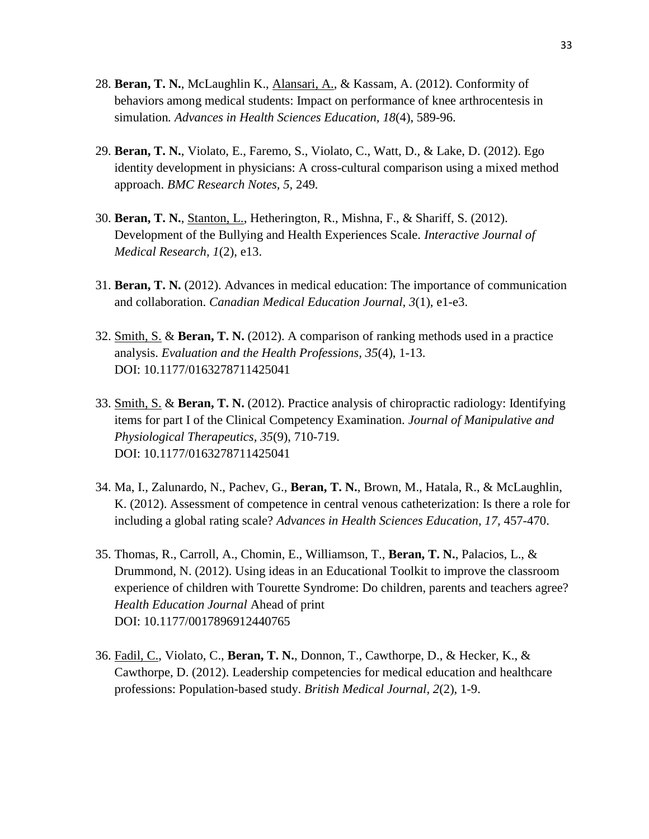- 28. **Beran, T. N.**, McLaughlin K., Alansari, A., & Kassam, A. (2012). Conformity of behaviors among medical students: Impact on performance of knee arthrocentesis in simulation*. Advances in Health Sciences Education, 18*(4), 589-96.
- 29. **Beran, T. N.**, Violato, E., Faremo, S., Violato, C., Watt, D., & Lake, D. (2012). Ego identity development in physicians: A cross-cultural comparison using a mixed method approach. *BMC Research Notes, 5,* 249*.*
- 30. **Beran, T. N.**, Stanton, L., Hetherington, R., Mishna, F., & Shariff, S. (2012). Development of the Bullying and Health Experiences Scale. *Interactive Journal of Medical Research, 1*(2), e13.
- 31. **Beran, T. N.** (2012). Advances in medical education: The importance of communication and collaboration. *Canadian Medical Education Journal, 3*(1), e1-e3.
- 32. Smith, S. & **Beran, T. N.** (2012). A comparison of ranking methods used in a practice analysis. *Evaluation and the Health Professions, 35*(4), 1-13. DOI: 10.1177/0163278711425041
- 33. Smith, S. & **Beran, T. N.** (2012). Practice analysis of chiropractic radiology: Identifying items for part I of the Clinical Competency Examination. *Journal of Manipulative and Physiological Therapeutics, 35*(9), 710-719. DOI: 10.1177/0163278711425041
- 34. Ma, I., Zalunardo, N., Pachev, G., **Beran, T. N.**, Brown, M., Hatala, R., & McLaughlin, K. (2012). Assessment of competence in central venous catheterization: Is there a role for including a global rating scale? *Advances in Health Sciences Education, 17,* 457-470.
- 35. Thomas, R., Carroll, A., Chomin, E., Williamson, T., **Beran, T. N.**, Palacios, L., & Drummond, N. (2012). Using ideas in an Educational Toolkit to improve the classroom experience of children with Tourette Syndrome: Do children, parents and teachers agree? *Health Education Journal* Ahead of print DOI: 10.1177/0017896912440765
- 36. Fadil, C., Violato, C., **Beran, T. N.**, Donnon, T., Cawthorpe, D., & Hecker, K., & Cawthorpe, D. (2012). Leadership competencies for medical education and healthcare professions: Population-based study. *British Medical Journal, 2*(2), 1-9.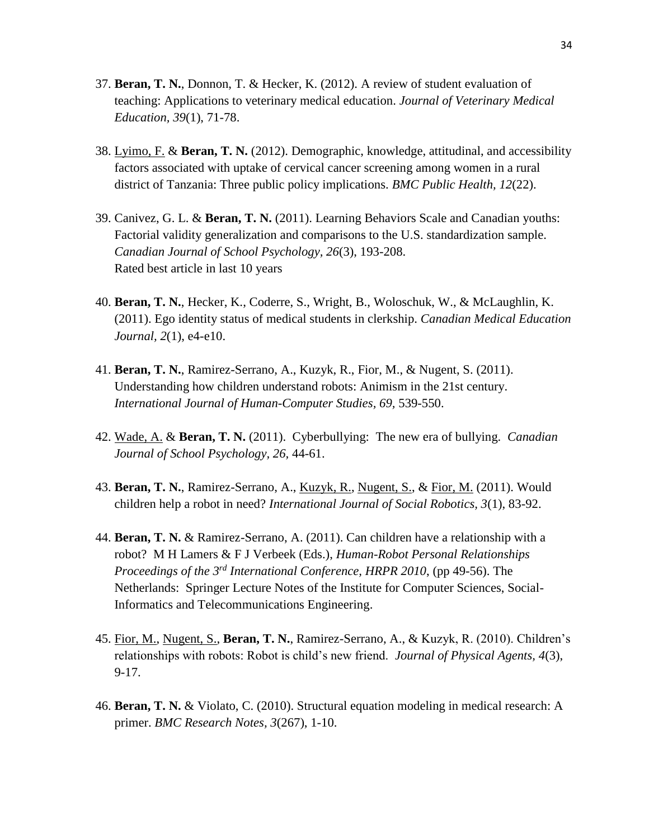- 37. **Beran, T. N.**, Donnon, T. & Hecker, K. (2012). A review of student evaluation of teaching: Applications to veterinary medical education. *Journal of Veterinary Medical Education, 39*(1), 71-78.
- 38. Lyimo, F. & **Beran, T. N.** (2012). Demographic, knowledge, attitudinal, and accessibility factors associated with uptake of cervical cancer screening among women in a rural district of Tanzania: Three public policy implications. *BMC Public Health, 12*(22).
- 39. Canivez, G. L. & **Beran, T. N.** (2011). Learning Behaviors Scale and Canadian youths: Factorial validity generalization and comparisons to the U.S. standardization sample. *Canadian Journal of School Psychology, 26*(3), 193-208. Rated best article in last 10 years
- 40. **Beran, T. N.**, Hecker, K., Coderre, S., Wright, B., Woloschuk, W., & McLaughlin, K. (2011). Ego identity status of medical students in clerkship. *Canadian Medical Education Journal, 2*(1), e4-e10.
- 41. **Beran, T. N.**, Ramirez-Serrano, A., Kuzyk, R., Fior, M., & Nugent, S. (2011). Understanding how children understand robots: Animism in the 21st century. *International Journal of Human-Computer Studies, 69,* 539-550.
- 42. Wade, A. & **Beran, T. N.** (2011). Cyberbullying: The new era of bullying. *Canadian Journal of School Psychology, 26,* 44-61.
- 43. **Beran, T. N.**, Ramirez-Serrano, A., Kuzyk, R., Nugent, S., & Fior, M. (2011). Would children help a robot in need? *International Journal of Social Robotics, 3*(1), 83-92.
- 44. **Beran, T. N.** & Ramirez-Serrano, A. (2011). Can children have a relationship with a robot? M H Lamers & F J Verbeek (Eds.), *Human-Robot Personal Relationships Proceedings of the 3rd International Conference, HRPR 2010*, (pp 49-56). The Netherlands: Springer Lecture Notes of the Institute for Computer Sciences, Social-Informatics and Telecommunications Engineering.
- 45. Fior, M., Nugent, S., **Beran, T. N.**, Ramirez-Serrano, A., & Kuzyk, R. (2010). Children's relationships with robots: Robot is child's new friend. *Journal of Physical Agents, 4*(3), 9-17.
- 46. **Beran, T. N.** & Violato, C. (2010). Structural equation modeling in medical research: A primer. *BMC Research Notes, 3*(267), 1-10.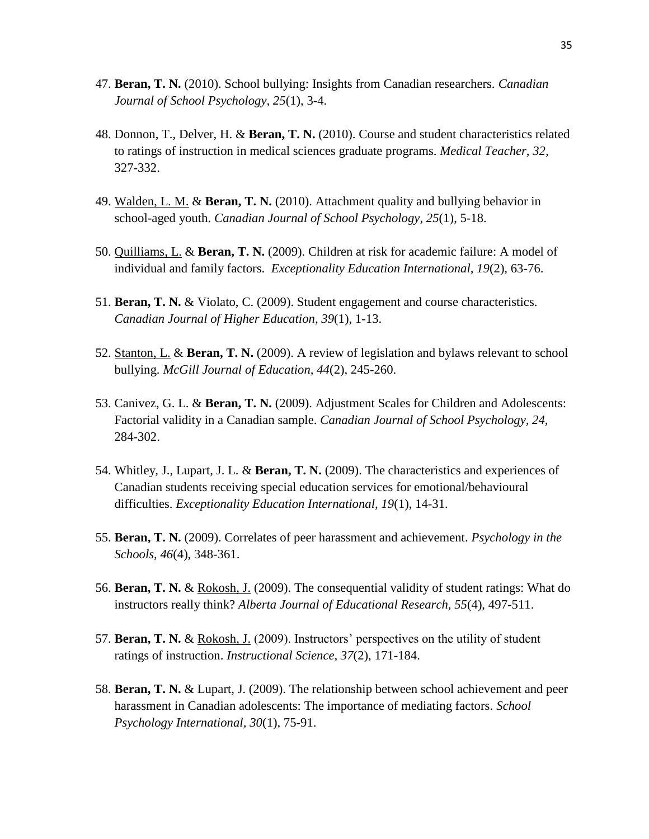- 47. **Beran, T. N.** (2010). School bullying: Insights from Canadian researchers. *Canadian Journal of School Psychology, 25*(1), 3-4.
- 48. Donnon, T., Delver, H. & **Beran, T. N.** (2010). Course and student characteristics related to ratings of instruction in medical sciences graduate programs. *Medical Teacher, 32,*  327-332.
- 49. Walden, L. M. & **Beran, T. N.** (2010). Attachment quality and bullying behavior in school-aged youth. *Canadian Journal of School Psychology, 25*(1), 5-18.
- 50. Quilliams, L. & **Beran, T. N.** (2009). Children at risk for academic failure: A model of individual and family factors. *Exceptionality Education International, 19*(2), 63-76.
- 51. **Beran, T. N.** & Violato, C. (2009). Student engagement and course characteristics. *Canadian Journal of Higher Education, 39*(1), 1-13.
- 52. Stanton, L. & **Beran, T. N.** (2009). A review of legislation and bylaws relevant to school bullying. *McGill Journal of Education, 44*(2), 245-260.
- 53. Canivez, G. L. & **Beran, T. N.** (2009). Adjustment Scales for Children and Adolescents: Factorial validity in a Canadian sample. *Canadian Journal of School Psychology, 24,*  284-302.
- 54. Whitley, J., Lupart, J. L. & **Beran, T. N.** (2009). The characteristics and experiences of Canadian students receiving special education services for emotional/behavioural difficulties. *Exceptionality Education International, 19*(1), 14-31.
- 55. **Beran, T. N.** (2009). Correlates of peer harassment and achievement. *Psychology in the Schools, 46*(4), 348-361.
- 56. **Beran, T. N.** & Rokosh, J. (2009). The consequential validity of student ratings: What do instructors really think? *Alberta Journal of Educational Research, 55*(4), 497-511.
- 57. **Beran, T. N.** & Rokosh, J. (2009). Instructors' perspectives on the utility of student ratings of instruction. *Instructional Science, 37*(2), 171-184.
- 58. **Beran, T. N.** & Lupart, J. (2009). The relationship between school achievement and peer harassment in Canadian adolescents: The importance of mediating factors. *School Psychology International, 30*(1), 75-91.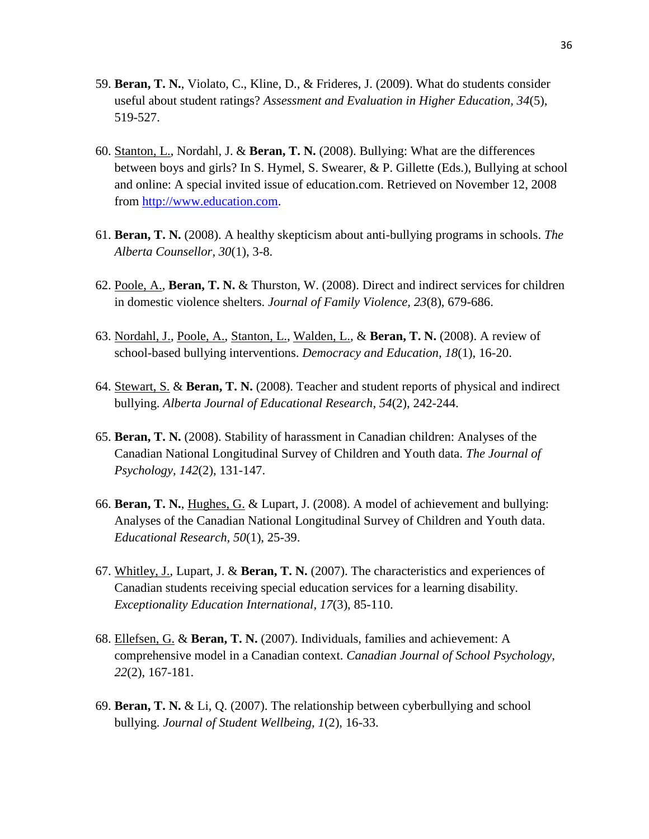- 59. **Beran, T. N.**, Violato, C., Kline, D., & Frideres, J. (2009). What do students consider useful about student ratings? *Assessment and Evaluation in Higher Education, 34*(5), 519-527.
- 60. Stanton, L., Nordahl, J. & **Beran, T. N.** (2008). Bullying: What are the differences between boys and girls? In S. Hymel, S. Swearer, & P. Gillette (Eds.), Bullying at school and online: A special invited issue of education.com. Retrieved on November 12, 2008 from [http://www.education.com.](http://www.education.com/)
- 61. **Beran, T. N.** (2008). A healthy skepticism about anti-bullying programs in schools. *The Alberta Counsellor, 30*(1), 3-8.
- 62. Poole, A., **Beran, T. N.** & Thurston, W. (2008). Direct and indirect services for children in domestic violence shelters. *Journal of Family Violence, 23*(8), 679-686.
- 63. Nordahl, J., Poole, A., Stanton, L., Walden, L., & **Beran, T. N.** (2008). A review of school-based bullying interventions. *Democracy and Education, 18*(1), 16-20.
- 64. Stewart, S. & **Beran, T. N.** (2008). Teacher and student reports of physical and indirect bullying. *Alberta Journal of Educational Research, 54*(2), 242-244.
- 65. **Beran, T. N.** (2008). Stability of harassment in Canadian children: Analyses of the Canadian National Longitudinal Survey of Children and Youth data. *The Journal of Psychology, 142*(2), 131-147.
- 66. **Beran, T. N.**, Hughes, G. & Lupart, J. (2008). A model of achievement and bullying: Analyses of the Canadian National Longitudinal Survey of Children and Youth data. *Educational Research, 50*(1), 25-39.
- 67. Whitley, J., Lupart, J. & **Beran, T. N.** (2007). The characteristics and experiences of Canadian students receiving special education services for a learning disability. *Exceptionality Education International, 17*(3), 85-110.
- 68. Ellefsen, G. & **Beran, T. N.** (2007). Individuals, families and achievement: A comprehensive model in a Canadian context. *Canadian Journal of School Psychology, 22*(2), 167-181.
- 69. **Beran, T. N.** & Li, Q. (2007). The relationship between cyberbullying and school bullying. *Journal of Student Wellbeing, 1*(2), 16-33.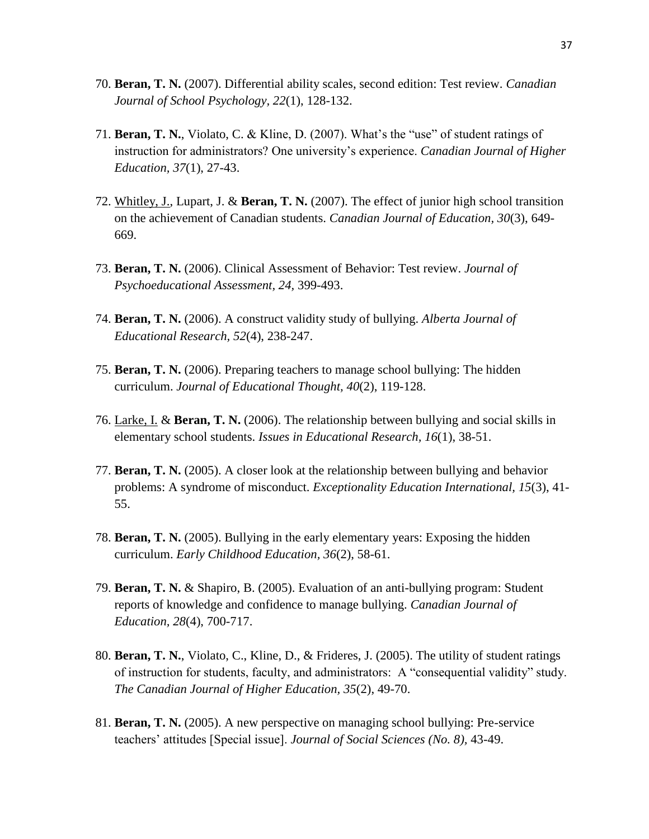- 70. **Beran, T. N.** (2007). Differential ability scales, second edition: Test review. *Canadian Journal of School Psychology, 22*(1), 128-132.
- 71. **Beran, T. N.**, Violato, C. & Kline, D. (2007). What's the "use" of student ratings of instruction for administrators? One university's experience. *Canadian Journal of Higher Education, 37*(1), 27-43.
- 72. Whitley, J., Lupart, J. & **Beran, T. N.** (2007). The effect of junior high school transition on the achievement of Canadian students. *Canadian Journal of Education, 30*(3), 649- 669.
- 73. **Beran, T. N.** (2006). Clinical Assessment of Behavior: Test review. *Journal of Psychoeducational Assessment, 24,* 399-493.
- 74. **Beran, T. N.** (2006). A construct validity study of bullying. *Alberta Journal of Educational Research, 52*(4), 238-247.
- 75. **Beran, T. N.** (2006). Preparing teachers to manage school bullying: The hidden curriculum. *Journal of Educational Thought, 40*(2), 119-128.
- 76. Larke, I. & **Beran, T. N.** (2006). The relationship between bullying and social skills in elementary school students. *Issues in Educational Research, 16*(1), 38-51.
- 77. **Beran, T. N.** (2005). A closer look at the relationship between bullying and behavior problems: A syndrome of misconduct. *Exceptionality Education International, 15*(3), 41- 55.
- 78. **Beran, T. N.** (2005). Bullying in the early elementary years: Exposing the hidden curriculum. *Early Childhood Education, 36*(2), 58-61.
- 79. **Beran, T. N.** & Shapiro, B. (2005). Evaluation of an anti-bullying program: Student reports of knowledge and confidence to manage bullying. *Canadian Journal of Education, 28*(4), 700-717.
- 80. **Beran, T. N.**, Violato, C., Kline, D., & Frideres, J. (2005). The utility of student ratings of instruction for students, faculty, and administrators: A "consequential validity" study. *The Canadian Journal of Higher Education, 35*(2), 49-70.
- 81. **Beran, T. N.** (2005). A new perspective on managing school bullying: Pre-service teachers' attitudes [Special issue]. *Journal of Social Sciences (No. 8),* 43-49.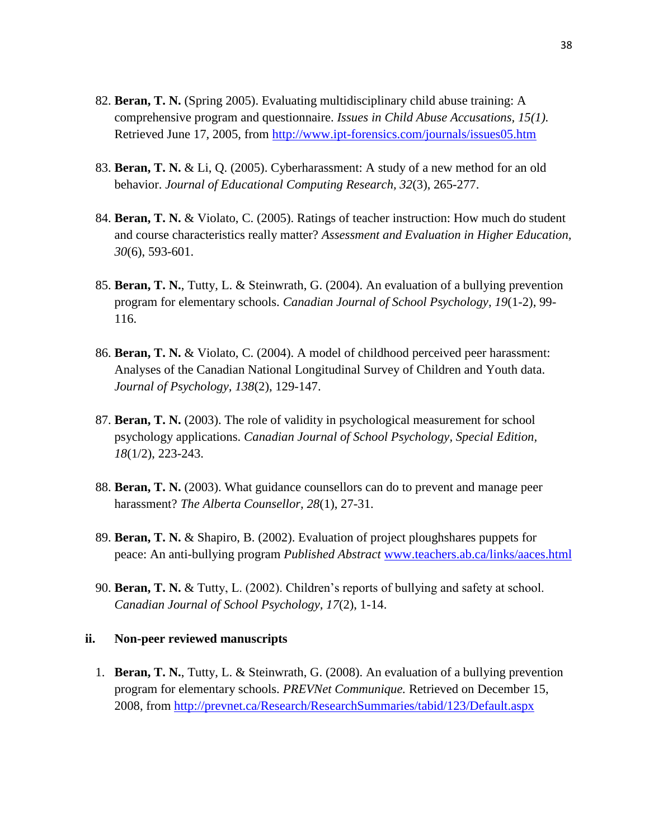- 82. **Beran, T. N.** (Spring 2005). Evaluating multidisciplinary child abuse training: A comprehensive program and questionnaire. *Issues in Child Abuse Accusations, 15(1).* Retrieved June 17, 2005, from<http://www.ipt-forensics.com/journals/issues05.htm>
- 83. **Beran, T. N.** & Li, Q. (2005). Cyberharassment: A study of a new method for an old behavior. *Journal of Educational Computing Research, 32*(3), 265-277.
- 84. **Beran, T. N.** & Violato, C. (2005). Ratings of teacher instruction: How much do student and course characteristics really matter? *Assessment and Evaluation in Higher Education, 30*(6), 593-601.
- 85. **Beran, T. N.**, Tutty, L. & Steinwrath, G. (2004). An evaluation of a bullying prevention program for elementary schools. *Canadian Journal of School Psychology, 19*(1-2), 99- 116.
- 86. **Beran, T. N.** & Violato, C. (2004). A model of childhood perceived peer harassment: Analyses of the Canadian National Longitudinal Survey of Children and Youth data. *Journal of Psychology, 138*(2), 129-147.
- 87. **Beran, T. N.** (2003). The role of validity in psychological measurement for school psychology applications. *Canadian Journal of School Psychology, Special Edition, 18*(1/2), 223-243.
- 88. **Beran, T. N.** (2003). What guidance counsellors can do to prevent and manage peer harassment? *The Alberta Counsellor, 28*(1), 27-31.
- 89. **Beran, T. N.** & Shapiro, B. (2002). Evaluation of project ploughshares puppets for peace: An anti-bullying program *Published Abstract* [www.teachers.ab.ca/links/aaces.html](http://www.teachers.ab.ca/links/aaces.html)
- 90. **Beran, T. N.** & Tutty, L. (2002). Children's reports of bullying and safety at school. *Canadian Journal of School Psychology, 17*(2), 1-14.

#### **ii. Non-peer reviewed manuscripts**

1. **Beran, T. N.**, Tutty, L. & Steinwrath, G. (2008). An evaluation of a bullying prevention program for elementary schools. *PREVNet Communique.* Retrieved on December 15, 2008, from<http://prevnet.ca/Research/ResearchSummaries/tabid/123/Default.aspx>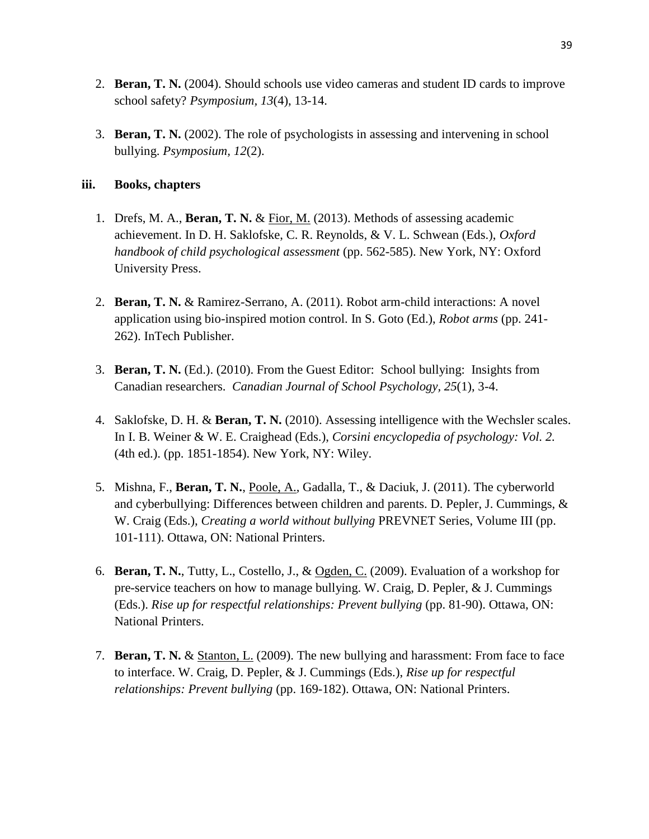- 2. **Beran, T. N.** (2004). Should schools use video cameras and student ID cards to improve school safety? *Psymposium, 13*(4), 13-14.
- 3. **Beran, T. N.** (2002). The role of psychologists in assessing and intervening in school bullying. *Psymposium, 12*(2).

### **iii. Books, chapters**

- 1. Drefs, M. A., **Beran, T. N.** & Fior, M. (2013). Methods of assessing academic achievement. In D. H. Saklofske, C. R. Reynolds, & V. L. Schwean (Eds.), *Oxford handbook of child psychological assessment* (pp. 562-585). New York, NY: Oxford University Press.
- 2. **Beran, T. N.** & Ramirez-Serrano, A. (2011). Robot arm-child interactions: A novel application using bio-inspired motion control. In S. Goto (Ed.), *Robot arms* (pp. 241- 262). InTech Publisher.
- 3. **Beran, T. N.** (Ed.). (2010). From the Guest Editor: School bullying: Insights from Canadian researchers. *Canadian Journal of School Psychology, 25*(1), 3-4.
- 4. Saklofske, D. H. & **Beran, T. N.** (2010). Assessing intelligence with the Wechsler scales. In I. B. Weiner & W. E. Craighead (Eds.), *Corsini encyclopedia of psychology: Vol. 2.* (4th ed.). (pp. 1851-1854). New York, NY: Wiley.
- 5. Mishna, F., **Beran, T. N.**, Poole, A., Gadalla, T., & Daciuk, J. (2011). The cyberworld and cyberbullying: Differences between children and parents. D. Pepler, J. Cummings, & W. Craig (Eds.), *Creating a world without bullying* PREVNET Series, Volume III (pp. 101-111). Ottawa, ON: National Printers.
- 6. **Beran, T. N.**, Tutty, L., Costello, J., & Ogden, C. (2009). Evaluation of a workshop for pre-service teachers on how to manage bullying. W. Craig, D. Pepler, & J. Cummings (Eds.). *Rise up for respectful relationships: Prevent bullying* (pp. 81-90). Ottawa, ON: National Printers.
- 7. **Beran, T. N.** & Stanton, L. (2009). The new bullying and harassment: From face to face to interface. W. Craig, D. Pepler, & J. Cummings (Eds.), *Rise up for respectful relationships: Prevent bullying* (pp. 169-182). Ottawa, ON: National Printers.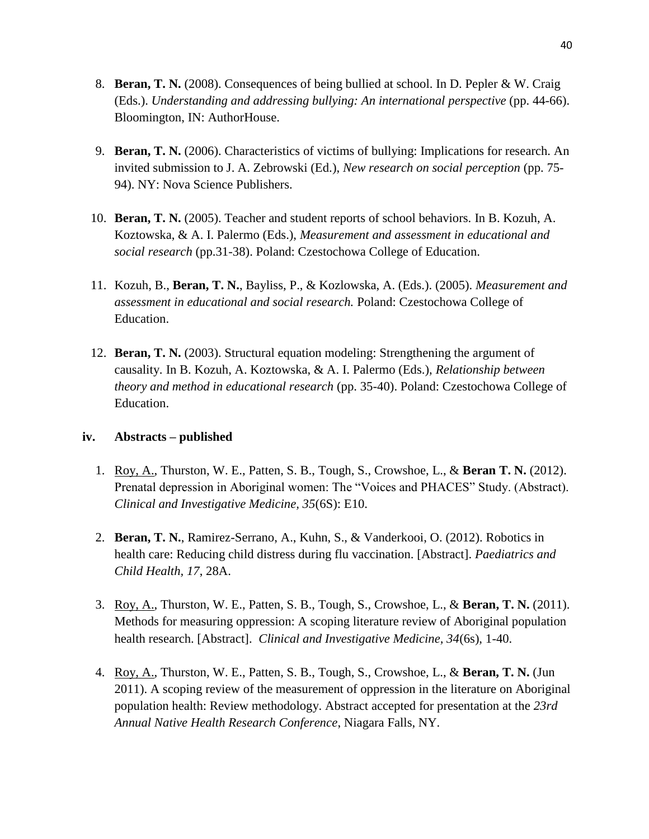- 8. **Beran, T. N.** (2008). Consequences of being bullied at school. In D. Pepler & W. Craig (Eds.). *Understanding and addressing bullying: An international perspective* (pp. 44-66). Bloomington, IN: AuthorHouse.
- 9. **Beran, T. N.** (2006). Characteristics of victims of bullying: Implications for research. An invited submission to J. A. Zebrowski (Ed.), *New research on social perception* (pp. 75- 94). NY: Nova Science Publishers.
- 10. **Beran, T. N.** (2005). Teacher and student reports of school behaviors. In B. Kozuh, A. Koztowska, & A. I. Palermo (Eds.), *Measurement and assessment in educational and social research* (pp.31-38). Poland: Czestochowa College of Education.
- 11. Kozuh, B., **Beran, T. N.**, Bayliss, P., & Kozlowska, A. (Eds.). (2005). *Measurement and assessment in educational and social research.* Poland: Czestochowa College of Education.
- 12. **Beran, T. N.** (2003). Structural equation modeling: Strengthening the argument of causality. In B. Kozuh, A. Koztowska, & A. I. Palermo (Eds.), *Relationship between theory and method in educational research* (pp. 35-40). Poland: Czestochowa College of Education.

#### **iv. Abstracts – published**

- 1. Roy, A., Thurston, W. E., Patten, S. B., Tough, S., Crowshoe, L., & **Beran T. N.** (2012). Prenatal depression in Aboriginal women: The "Voices and PHACES" Study. (Abstract). *Clinical and Investigative Medicine, 35*(6S): E10.
- 2. **Beran, T. N.**, Ramirez-Serrano, A., Kuhn, S., & Vanderkooi, O. (2012). Robotics in health care: Reducing child distress during flu vaccination. [Abstract]. *Paediatrics and Child Health, 17*, 28A.
- 3. Roy, A., Thurston, W. E., Patten, S. B., Tough, S., Crowshoe, L., & **Beran, T. N.** (2011). Methods for measuring oppression: A scoping literature review of Aboriginal population health research. [Abstract]. *Clinical and Investigative Medicine, 34*(6s), 1-40.
- 4. Roy, A., Thurston, W. E., Patten, S. B., Tough, S., Crowshoe, L., & **Beran, T. N.** (Jun 2011). A scoping review of the measurement of oppression in the literature on Aboriginal population health: Review methodology. Abstract accepted for presentation at the *23rd Annual Native Health Research Conference*, Niagara Falls, NY.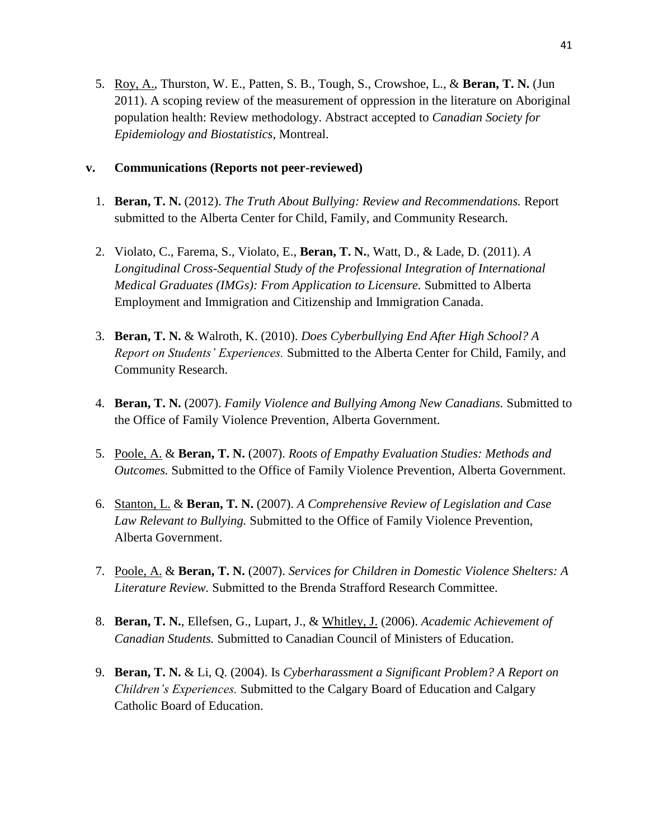5. Roy, A., Thurston, W. E., Patten, S. B., Tough, S., Crowshoe, L., & **Beran, T. N.** (Jun 2011). A scoping review of the measurement of oppression in the literature on Aboriginal population health: Review methodology. Abstract accepted to *Canadian Society for Epidemiology and Biostatistics*, Montreal.

### **v. Communications (Reports not peer-reviewed)**

- 1. **Beran, T. N.** (2012). *The Truth About Bullying: Review and Recommendations.* Report submitted to the Alberta Center for Child, Family, and Community Research.
- 2. Violato, C., Farema, S., Violato, E., **Beran, T. N.**, Watt, D., & Lade, D. (2011). *A Longitudinal Cross-Sequential Study of the Professional Integration of International Medical Graduates (IMGs): From Application to Licensure.* Submitted to Alberta Employment and Immigration and Citizenship and Immigration Canada.
- 3. **Beran, T. N.** & Walroth, K. (2010). *Does Cyberbullying End After High School? A Report on Students' Experiences.* Submitted to the Alberta Center for Child, Family, and Community Research.
- 4. **Beran, T. N.** (2007). *Family Violence and Bullying Among New Canadians.* Submitted to the Office of Family Violence Prevention, Alberta Government.
- 5. Poole, A. & **Beran, T. N.** (2007). *Roots of Empathy Evaluation Studies: Methods and Outcomes.* Submitted to the Office of Family Violence Prevention, Alberta Government.
- 6. Stanton, L. & **Beran, T. N.** (2007). *A Comprehensive Review of Legislation and Case Law Relevant to Bullying.* Submitted to the Office of Family Violence Prevention, Alberta Government.
- 7. Poole, A. & **Beran, T. N.** (2007). *Services for Children in Domestic Violence Shelters: A Literature Review.* Submitted to the Brenda Strafford Research Committee.
- 8. **Beran, T. N.**, Ellefsen, G., Lupart, J., & Whitley, J. (2006). *Academic Achievement of Canadian Students.* Submitted to Canadian Council of Ministers of Education.
- 9. **Beran, T. N.** & Li, Q. (2004). Is *Cyberharassment a Significant Problem? A Report on Children's Experiences.* Submitted to the Calgary Board of Education and Calgary Catholic Board of Education.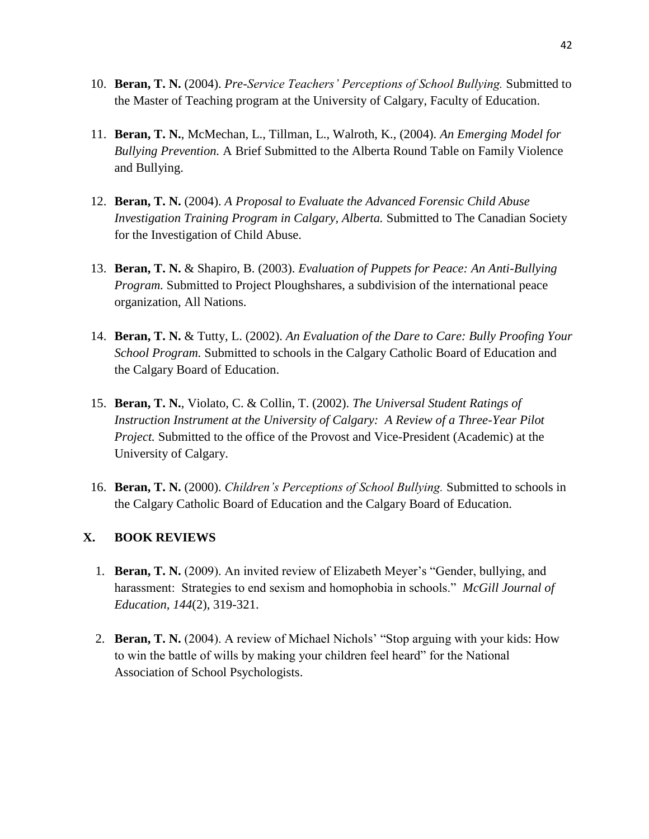- 10. **Beran, T. N.** (2004). *Pre-Service Teachers' Perceptions of School Bullying.* Submitted to the Master of Teaching program at the University of Calgary, Faculty of Education.
- 11. **Beran, T. N.**, McMechan, L., Tillman, L., Walroth, K., (2004). *An Emerging Model for Bullying Prevention.* A Brief Submitted to the Alberta Round Table on Family Violence and Bullying.
- 12. **Beran, T. N.** (2004). *A Proposal to Evaluate the Advanced Forensic Child Abuse Investigation Training Program in Calgary, Alberta.* Submitted to The Canadian Society for the Investigation of Child Abuse.
- 13. **Beran, T. N.** & Shapiro, B. (2003). *Evaluation of Puppets for Peace: An Anti-Bullying Program.* Submitted to Project Ploughshares, a subdivision of the international peace organization, All Nations.
- 14. **Beran, T. N.** & Tutty, L. (2002). *An Evaluation of the Dare to Care: Bully Proofing Your School Program.* Submitted to schools in the Calgary Catholic Board of Education and the Calgary Board of Education.
- 15. **Beran, T. N.**, Violato, C. & Collin, T. (2002). *The Universal Student Ratings of Instruction Instrument at the University of Calgary: A Review of a Three-Year Pilot Project.* Submitted to the office of the Provost and Vice-President (Academic) at the University of Calgary.
- 16. **Beran, T. N.** (2000). *Children's Perceptions of School Bullying.* Submitted to schools in the Calgary Catholic Board of Education and the Calgary Board of Education.

### **X. BOOK REVIEWS**

- 1. **Beran, T. N.** (2009). An invited review of Elizabeth Meyer's "Gender, bullying, and harassment: Strategies to end sexism and homophobia in schools." *McGill Journal of Education, 144*(2), 319-321.
- 2. **Beran, T. N.** (2004). A review of Michael Nichols' "Stop arguing with your kids: How to win the battle of wills by making your children feel heard" for the National Association of School Psychologists.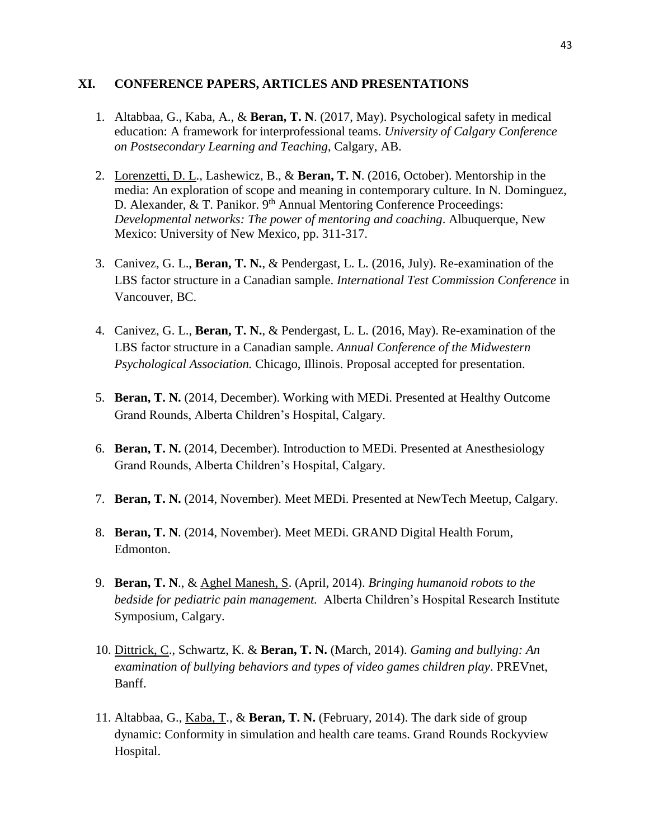### **XI. CONFERENCE PAPERS, ARTICLES AND PRESENTATIONS**

- 1. Altabbaa, G., Kaba, A., & **Beran, T. N**. (2017, May). Psychological safety in medical education: A framework for interprofessional teams. *University of Calgary Conference on Postsecondary Learning and Teaching*, Calgary, AB.
- 2. Lorenzetti, D. L., Lashewicz, B., & **Beran, T. N**. (2016, October). Mentorship in the media: An exploration of scope and meaning in contemporary culture. In N. Dominguez, D. Alexander, & T. Panikor. 9<sup>th</sup> Annual Mentoring Conference Proceedings: *Developmental networks: The power of mentoring and coaching*. Albuquerque, New Mexico: University of New Mexico, pp. 311-317.
- 3. Canivez, G. L., **Beran, T. N.**, & Pendergast, L. L. (2016, July). Re-examination of the LBS factor structure in a Canadian sample. *International Test Commission Conference* in Vancouver, BC.
- 4. Canivez, G. L., **Beran, T. N.**, & Pendergast, L. L. (2016, May). Re-examination of the LBS factor structure in a Canadian sample. *Annual Conference of the Midwestern Psychological Association.* Chicago, Illinois. Proposal accepted for presentation.
- 5. **Beran, T. N.** (2014, December). Working with MEDi. Presented at Healthy Outcome Grand Rounds, Alberta Children's Hospital, Calgary.
- 6. **Beran, T. N.** (2014, December). Introduction to MEDi. Presented at Anesthesiology Grand Rounds, Alberta Children's Hospital, Calgary.
- 7. **Beran, T. N.** (2014, November). Meet MEDi. Presented at NewTech Meetup, Calgary.
- 8. **Beran, T. N**. (2014, November). Meet MEDi. GRAND Digital Health Forum, Edmonton.
- 9. **Beran, T. N**., & Aghel Manesh, S. (April, 2014). *Bringing humanoid robots to the bedside for pediatric pain management.* Alberta Children's Hospital Research Institute Symposium, Calgary.
- 10. Dittrick, C., Schwartz, K. & **Beran, T. N.** (March, 2014). *Gaming and bullying: An examination of bullying behaviors and types of video games children play*. PREVnet, Banff.
- 11. Altabbaa, G., Kaba, T., & **Beran, T. N.** (February, 2014). The dark side of group dynamic: Conformity in simulation and health care teams. Grand Rounds Rockyview Hospital.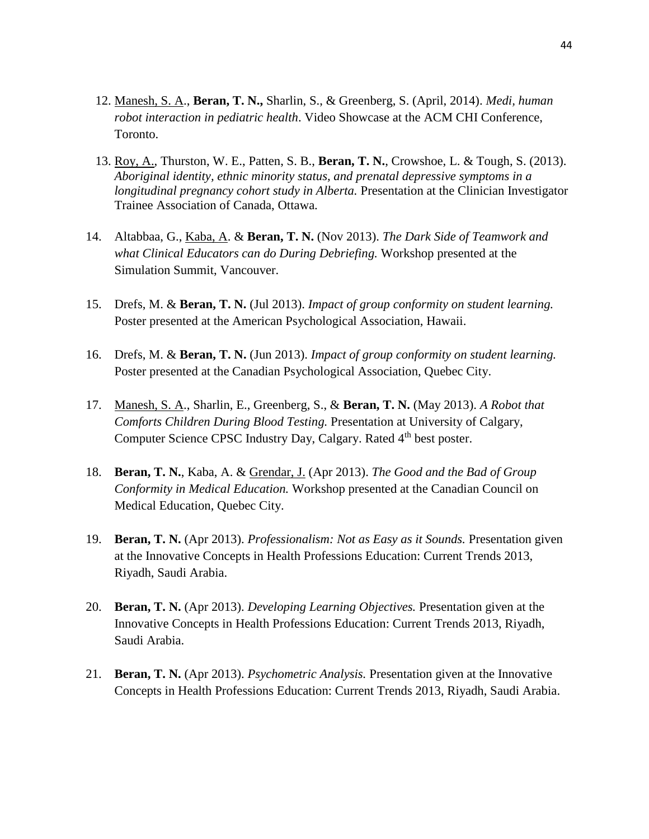- 12. Manesh, S. A., **Beran, T. N.,** Sharlin, S., & Greenberg, S. (April, 2014). *Medi, human robot interaction in pediatric health*. Video Showcase at the ACM CHI Conference, Toronto.
- 13. Roy, A., Thurston, W. E., Patten, S. B., **Beran, T. N.**, Crowshoe, L. & Tough, S. (2013). *Aboriginal identity, ethnic minority status, and prenatal depressive symptoms in a longitudinal pregnancy cohort study in Alberta.* Presentation at the Clinician Investigator Trainee Association of Canada, Ottawa.
- 14. Altabbaa, G., Kaba, A. & **Beran, T. N.** (Nov 2013). *The Dark Side of Teamwork and what Clinical Educators can do During Debriefing.* Workshop presented at the Simulation Summit, Vancouver.
- 15. Drefs, M. & **Beran, T. N.** (Jul 2013). *Impact of group conformity on student learning.* Poster presented at the American Psychological Association, Hawaii.
- 16. Drefs, M. & **Beran, T. N.** (Jun 2013). *Impact of group conformity on student learning.* Poster presented at the Canadian Psychological Association, Quebec City.
- 17. Manesh, S. A., Sharlin, E., Greenberg, S., & **Beran, T. N.** (May 2013). *A Robot that Comforts Children During Blood Testing.* Presentation at University of Calgary, Computer Science CPSC Industry Day, Calgary. Rated 4<sup>th</sup> best poster.
- 18. **Beran, T. N.**, Kaba, A. & Grendar, J. (Apr 2013). *The Good and the Bad of Group Conformity in Medical Education.* Workshop presented at the Canadian Council on Medical Education, Quebec City.
- 19. **Beran, T. N.** (Apr 2013). *Professionalism: Not as Easy as it Sounds.* Presentation given at the Innovative Concepts in Health Professions Education: Current Trends 2013, Riyadh, Saudi Arabia.
- 20. **Beran, T. N.** (Apr 2013). *Developing Learning Objectives.* Presentation given at the Innovative Concepts in Health Professions Education: Current Trends 2013, Riyadh, Saudi Arabia.
- 21. **Beran, T. N.** (Apr 2013). *Psychometric Analysis.* Presentation given at the Innovative Concepts in Health Professions Education: Current Trends 2013, Riyadh, Saudi Arabia.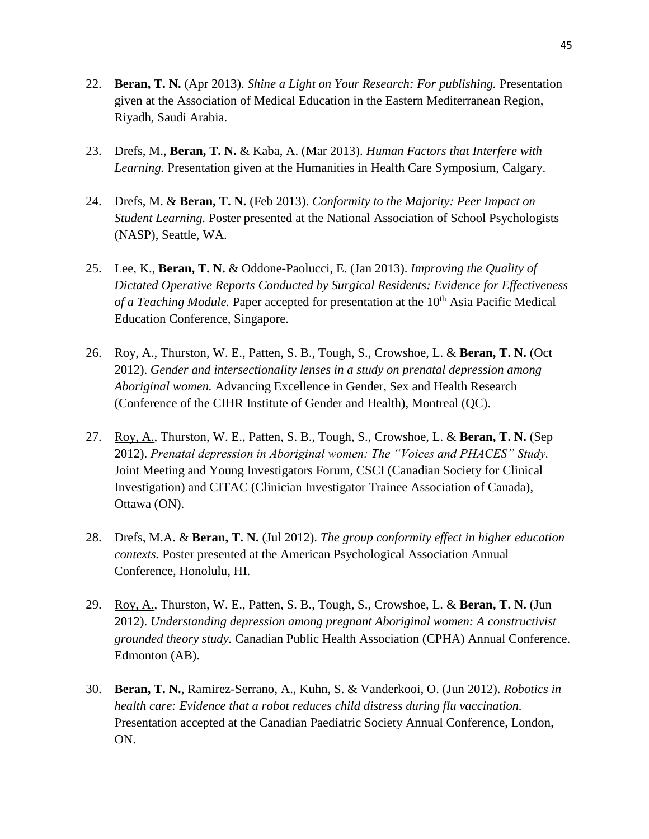- 22. **Beran, T. N.** (Apr 2013). *Shine a Light on Your Research: For publishing.* Presentation given at the Association of Medical Education in the Eastern Mediterranean Region, Riyadh, Saudi Arabia.
- 23. Drefs, M., **Beran, T. N.** & Kaba, A. (Mar 2013). *Human Factors that Interfere with Learning.* Presentation given at the Humanities in Health Care Symposium, Calgary.
- 24. Drefs, M. & **Beran, T. N.** (Feb 2013). *Conformity to the Majority: Peer Impact on Student Learning.* Poster presented at the National Association of School Psychologists (NASP), Seattle, WA.
- 25. Lee, K., **Beran, T. N.** & Oddone-Paolucci, E. (Jan 2013). *Improving the Quality of Dictated Operative Reports Conducted by Surgical Residents: Evidence for Effectiveness of a Teaching Module*. Paper accepted for presentation at the 10<sup>th</sup> Asia Pacific Medical Education Conference, Singapore.
- 26. Roy, A., Thurston, W. E., Patten, S. B., Tough, S., Crowshoe, L. & **Beran, T. N.** (Oct 2012). *Gender and intersectionality lenses in a study on prenatal depression among Aboriginal women.* Advancing Excellence in Gender, Sex and Health Research (Conference of the CIHR Institute of Gender and Health), Montreal (QC).
- 27. Roy, A., Thurston, W. E., Patten, S. B., Tough, S., Crowshoe, L. & **Beran, T. N.** (Sep 2012). *Prenatal depression in Aboriginal women: The "Voices and PHACES" Study.* Joint Meeting and Young Investigators Forum, CSCI (Canadian Society for Clinical Investigation) and CITAC (Clinician Investigator Trainee Association of Canada), Ottawa (ON).
- 28. Drefs, M.A. & **Beran, T. N.** (Jul 2012). *The group conformity effect in higher education contexts.* Poster presented at the American Psychological Association Annual Conference, Honolulu, HI.
- 29. Roy, A., Thurston, W. E., Patten, S. B., Tough, S., Crowshoe, L. & **Beran, T. N.** (Jun 2012). *Understanding depression among pregnant Aboriginal women: A constructivist grounded theory study.* Canadian Public Health Association (CPHA) Annual Conference. Edmonton (AB).
- 30. **Beran, T. N.**, Ramirez-Serrano, A., Kuhn, S. & Vanderkooi, O. (Jun 2012). *Robotics in health care: Evidence that a robot reduces child distress during flu vaccination.* Presentation accepted at the Canadian Paediatric Society Annual Conference, London, ON.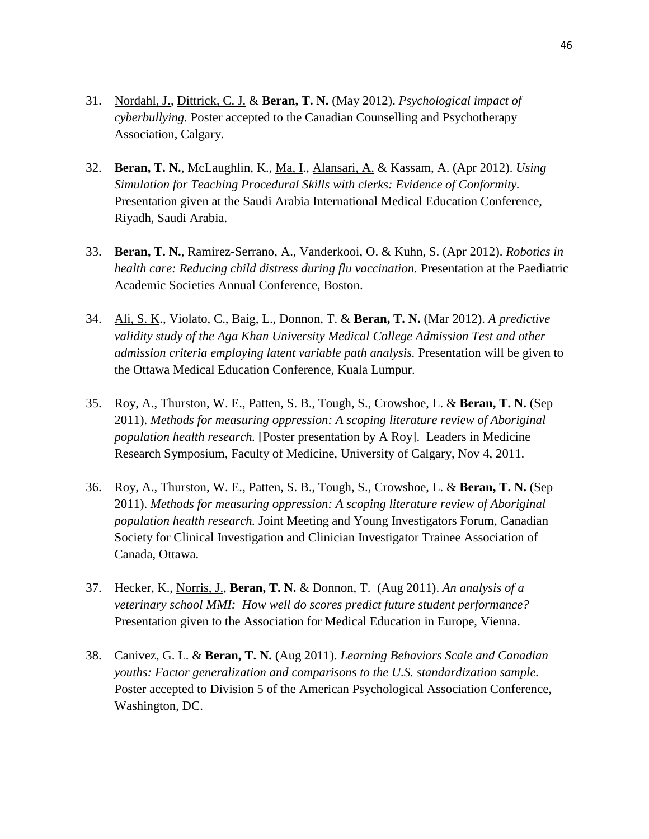- 31. Nordahl, J., Dittrick, C. J. & **Beran, T. N.** (May 2012). *Psychological impact of cyberbullying.* Poster accepted to the Canadian Counselling and Psychotherapy Association, Calgary.
- 32. **Beran, T. N.**, McLaughlin, K., Ma, I., Alansari, A. & Kassam, A. (Apr 2012). *Using Simulation for Teaching Procedural Skills with clerks: Evidence of Conformity.* Presentation given at the Saudi Arabia International Medical Education Conference, Riyadh, Saudi Arabia.
- 33. **Beran, T. N.**, Ramirez-Serrano, A., Vanderkooi, O. & Kuhn, S. (Apr 2012). *Robotics in health care: Reducing child distress during flu vaccination.* Presentation at the Paediatric Academic Societies Annual Conference, Boston.
- 34. Ali, S. K., Violato, C., Baig, L., Donnon, T. & **Beran, T. N.** (Mar 2012). *A predictive validity study of the Aga Khan University Medical College Admission Test and other admission criteria employing latent variable path analysis.* Presentation will be given to the Ottawa Medical Education Conference, Kuala Lumpur.
- 35. Roy, A., Thurston, W. E., Patten, S. B., Tough, S., Crowshoe, L. & **Beran, T. N.** (Sep 2011). *Methods for measuring oppression: A scoping literature review of Aboriginal population health research.* [Poster presentation by A Roy]. Leaders in Medicine Research Symposium, Faculty of Medicine, University of Calgary, Nov 4, 2011.
- 36. Roy, A., Thurston, W. E., Patten, S. B., Tough, S., Crowshoe, L. & **Beran, T. N.** (Sep 2011). *Methods for measuring oppression: A scoping literature review of Aboriginal population health research.* Joint Meeting and Young Investigators Forum, Canadian Society for Clinical Investigation and Clinician Investigator Trainee Association of Canada, Ottawa.
- 37. Hecker, K., Norris, J., **Beran, T. N.** & Donnon, T. (Aug 2011). *An analysis of a veterinary school MMI: How well do scores predict future student performance?* Presentation given to the Association for Medical Education in Europe, Vienna.
- 38. Canivez, G. L. & **Beran, T. N.** (Aug 2011). *Learning Behaviors Scale and Canadian youths: Factor generalization and comparisons to the U.S. standardization sample.* Poster accepted to Division 5 of the American Psychological Association Conference, Washington, DC.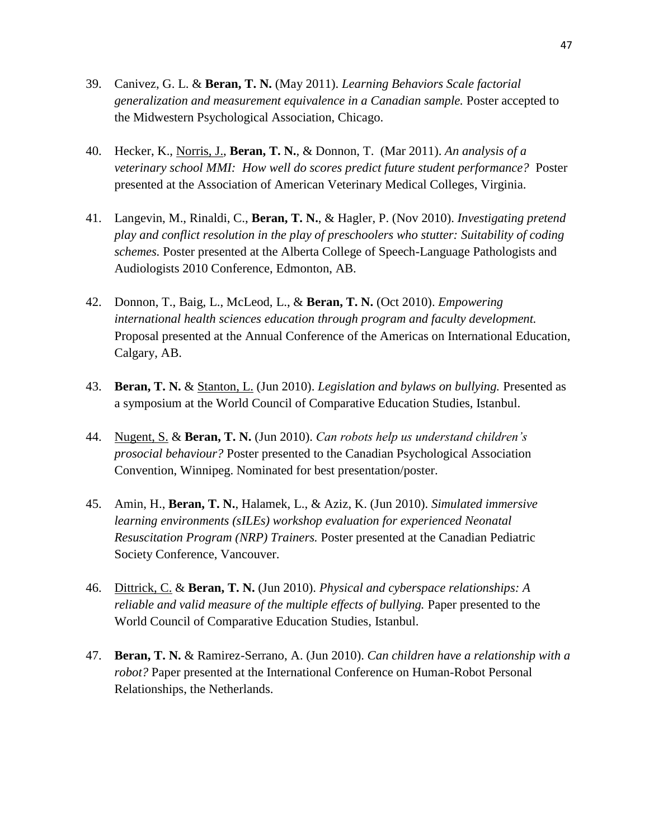- 39. Canivez, G. L. & **Beran, T. N.** (May 2011). *Learning Behaviors Scale factorial generalization and measurement equivalence in a Canadian sample.* Poster accepted to the Midwestern Psychological Association, Chicago.
- 40. Hecker, K., Norris, J., **Beran, T. N.**, & Donnon, T. (Mar 2011). *An analysis of a veterinary school MMI: How well do scores predict future student performance?* Poster presented at the Association of American Veterinary Medical Colleges, Virginia.
- 41. Langevin, M., Rinaldi, C., **Beran, T. N.**, & Hagler, P. (Nov 2010). *Investigating pretend play and conflict resolution in the play of preschoolers who stutter: Suitability of coding schemes.* Poster presented at the Alberta College of Speech-Language Pathologists and Audiologists 2010 Conference, Edmonton, AB.
- 42. Donnon, T., Baig, L., McLeod, L., & **Beran, T. N.** (Oct 2010). *Empowering international health sciences education through program and faculty development.* Proposal presented at the Annual Conference of the Americas on International Education, Calgary, AB.
- 43. **Beran, T. N.** & Stanton, L. (Jun 2010). *Legislation and bylaws on bullying.* Presented as a symposium at the World Council of Comparative Education Studies, Istanbul.
- 44. Nugent, S. & **Beran, T. N.** (Jun 2010). *Can robots help us understand children's prosocial behaviour?* Poster presented to the Canadian Psychological Association Convention, Winnipeg. Nominated for best presentation/poster.
- 45. Amin, H., **Beran, T. N.**, Halamek, L., & Aziz, K. (Jun 2010). *Simulated immersive learning environments (sILEs) workshop evaluation for experienced Neonatal Resuscitation Program (NRP) Trainers.* Poster presented at the Canadian Pediatric Society Conference, Vancouver.
- 46. Dittrick, C. & **Beran, T. N.** (Jun 2010). *Physical and cyberspace relationships: A reliable and valid measure of the multiple effects of bullying.* Paper presented to the World Council of Comparative Education Studies, Istanbul.
- 47. **Beran, T. N.** & Ramirez-Serrano, A. (Jun 2010). *Can children have a relationship with a robot?* Paper presented at the International Conference on Human-Robot Personal Relationships, the Netherlands.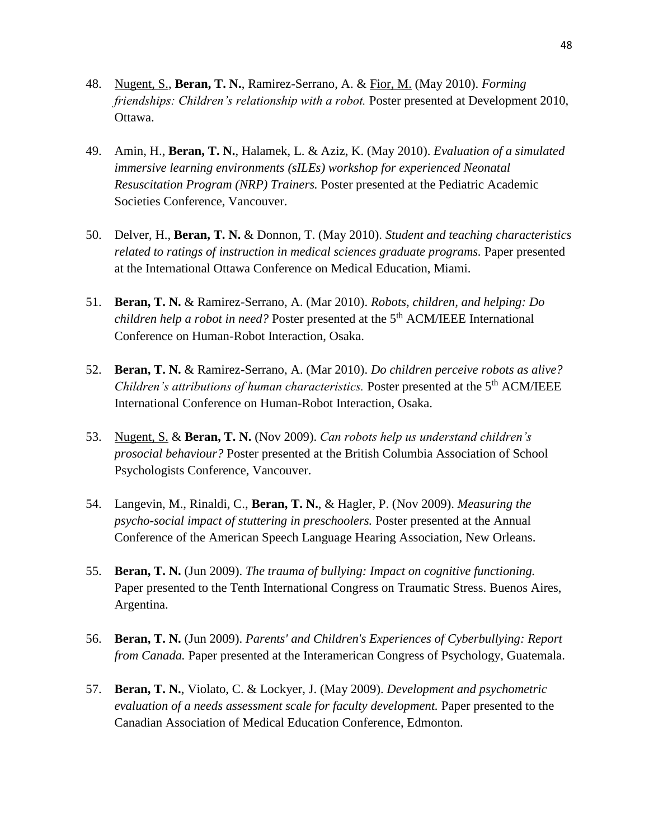- 48. Nugent, S., **Beran, T. N.**, Ramirez-Serrano, A. & Fior, M. (May 2010). *Forming friendships: Children's relationship with a robot.* Poster presented at Development 2010, Ottawa.
- 49. Amin, H., **Beran, T. N.**, Halamek, L. & Aziz, K. (May 2010). *Evaluation of a simulated immersive learning environments (sILEs) workshop for experienced Neonatal Resuscitation Program (NRP) Trainers.* Poster presented at the Pediatric Academic Societies Conference, Vancouver.
- 50. Delver, H., **Beran, T. N.** & Donnon, T. (May 2010). *Student and teaching characteristics related to ratings of instruction in medical sciences graduate programs.* Paper presented at the International Ottawa Conference on Medical Education, Miami.
- 51. **Beran, T. N.** & Ramirez-Serrano, A. (Mar 2010). *Robots, children, and helping: Do children help a robot in need?* Poster presented at the 5<sup>th</sup> ACM/IEEE International Conference on Human-Robot Interaction, Osaka.
- 52. **Beran, T. N.** & Ramirez-Serrano, A. (Mar 2010). *Do children perceive robots as alive? Children's attributions of human characteristics.* Poster presented at the 5<sup>th</sup> ACM/IEEE International Conference on Human-Robot Interaction, Osaka.
- 53. Nugent, S. & **Beran, T. N.** (Nov 2009). *Can robots help us understand children's prosocial behaviour?* Poster presented at the British Columbia Association of School Psychologists Conference, Vancouver.
- 54. Langevin, M., Rinaldi, C., **Beran, T. N.**, & Hagler, P. (Nov 2009). *Measuring the psycho-social impact of stuttering in preschoolers.* Poster presented at the Annual Conference of the American Speech Language Hearing Association, New Orleans.
- 55. **Beran, T. N.** (Jun 2009). *The trauma of bullying: Impact on cognitive functioning.* Paper presented to the Tenth International Congress on Traumatic Stress. Buenos Aires, Argentina.
- 56. **Beran, T. N.** (Jun 2009). *Parents' and Children's Experiences of Cyberbullying: Report from Canada.* Paper presented at the Interamerican Congress of Psychology, Guatemala.
- 57. **Beran, T. N.**, Violato, C. & Lockyer, J. (May 2009). *Development and psychometric evaluation of a needs assessment scale for faculty development.* Paper presented to the Canadian Association of Medical Education Conference, Edmonton.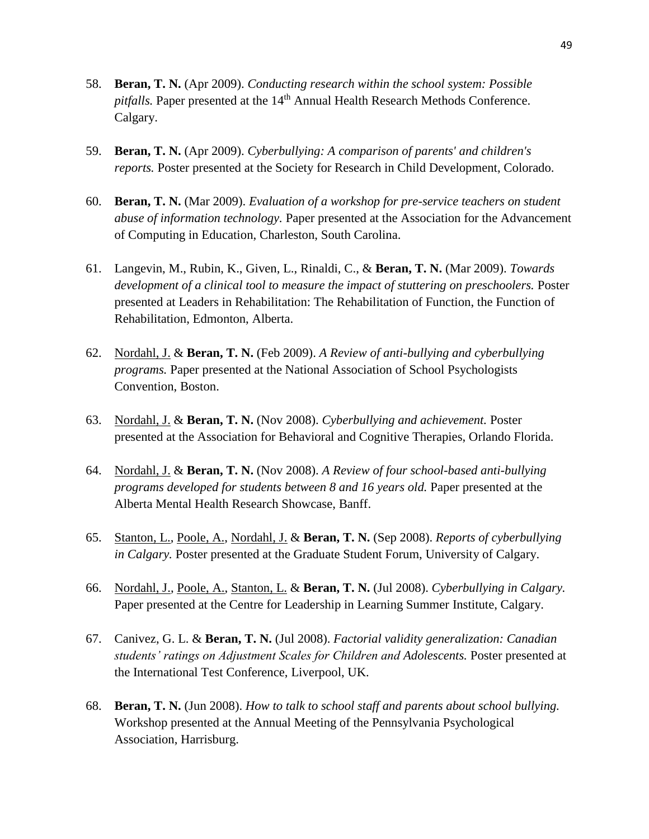- 58. **Beran, T. N.** (Apr 2009). *Conducting research within the school system: Possible pitfalls*. Paper presented at the 14<sup>th</sup> Annual Health Research Methods Conference. Calgary.
- 59. **Beran, T. N.** (Apr 2009). *Cyberbullying: A comparison of parents' and children's reports.* Poster presented at the Society for Research in Child Development, Colorado.
- 60. **Beran, T. N.** (Mar 2009). *Evaluation of a workshop for pre-service teachers on student abuse of information technology.* Paper presented at the Association for the Advancement of Computing in Education, Charleston, South Carolina.
- 61. Langevin, M., Rubin, K., Given, L., Rinaldi, C., & **Beran, T. N.** (Mar 2009). *Towards development of a clinical tool to measure the impact of stuttering on preschoolers.* Poster presented at Leaders in Rehabilitation: The Rehabilitation of Function, the Function of Rehabilitation, Edmonton, Alberta.
- 62. Nordahl, J. & **Beran, T. N.** (Feb 2009). *A Review of anti-bullying and cyberbullying programs.* Paper presented at the National Association of School Psychologists Convention, Boston.
- 63. Nordahl, J. & **Beran, T. N.** (Nov 2008). *Cyberbullying and achievement.* Poster presented at the Association for Behavioral and Cognitive Therapies, Orlando Florida.
- 64. Nordahl, J. & **Beran, T. N.** (Nov 2008). *A Review of four school-based anti-bullying programs developed for students between 8 and 16 years old.* Paper presented at the Alberta Mental Health Research Showcase, Banff.
- 65. Stanton, L., Poole, A., Nordahl, J. & **Beran, T. N.** (Sep 2008). *Reports of cyberbullying in Calgary.* Poster presented at the Graduate Student Forum, University of Calgary.
- 66. Nordahl, J., Poole, A., Stanton, L. & **Beran, T. N.** (Jul 2008). *Cyberbullying in Calgary.* Paper presented at the Centre for Leadership in Learning Summer Institute, Calgary.
- 67. Canivez, G. L. & **Beran, T. N.** (Jul 2008). *Factorial validity generalization: Canadian students' ratings on Adjustment Scales for Children and Adolescents.* Poster presented at the International Test Conference, Liverpool, UK.
- 68. **Beran, T. N.** (Jun 2008). *How to talk to school staff and parents about school bullying.* Workshop presented at the Annual Meeting of the Pennsylvania Psychological Association, Harrisburg.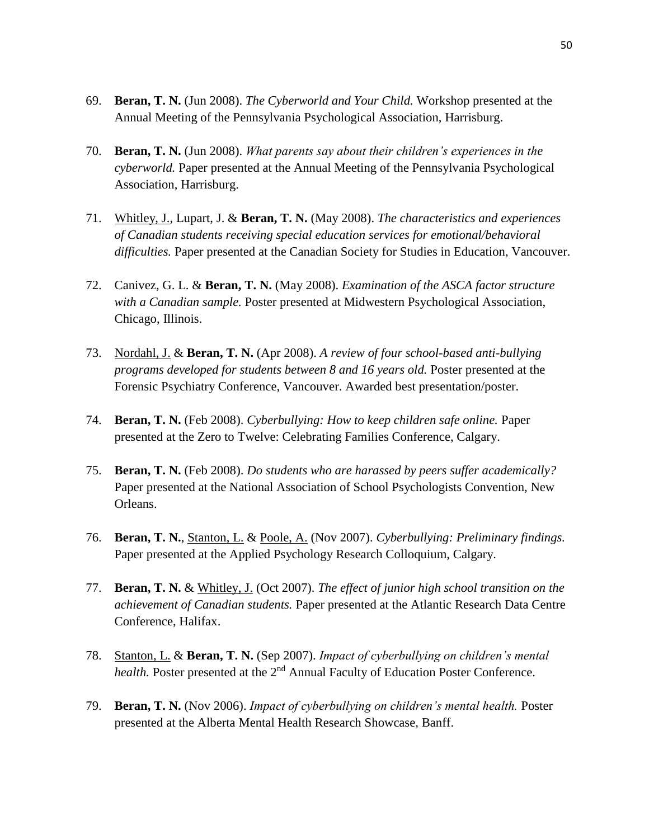- 69. **Beran, T. N.** (Jun 2008). *The Cyberworld and Your Child.* Workshop presented at the Annual Meeting of the Pennsylvania Psychological Association, Harrisburg.
- 70. **Beran, T. N.** (Jun 2008). *What parents say about their children's experiences in the cyberworld.* Paper presented at the Annual Meeting of the Pennsylvania Psychological Association, Harrisburg.
- 71. Whitley, J., Lupart, J. & **Beran, T. N.** (May 2008). *The characteristics and experiences of Canadian students receiving special education services for emotional/behavioral difficulties.* Paper presented at the Canadian Society for Studies in Education, Vancouver.
- 72. Canivez, G. L. & **Beran, T. N.** (May 2008). *Examination of the ASCA factor structure with a Canadian sample.* Poster presented at Midwestern Psychological Association, Chicago, Illinois.
- 73. Nordahl, J. & **Beran, T. N.** (Apr 2008). *A review of four school-based anti-bullying programs developed for students between 8 and 16 years old.* Poster presented at the Forensic Psychiatry Conference, Vancouver. Awarded best presentation/poster.
- 74. **Beran, T. N.** (Feb 2008). *Cyberbullying: How to keep children safe online.* Paper presented at the Zero to Twelve: Celebrating Families Conference, Calgary.
- 75. **Beran, T. N.** (Feb 2008). *Do students who are harassed by peers suffer academically?* Paper presented at the National Association of School Psychologists Convention, New Orleans.
- 76. **Beran, T. N.**, Stanton, L. & Poole, A. (Nov 2007). *Cyberbullying: Preliminary findings.* Paper presented at the Applied Psychology Research Colloquium, Calgary.
- 77. **Beran, T. N.** & Whitley, J. (Oct 2007). *The effect of junior high school transition on the achievement of Canadian students.* Paper presented at the Atlantic Research Data Centre Conference, Halifax.
- 78. Stanton, L. & **Beran, T. N.** (Sep 2007). *Impact of cyberbullying on children's mental health*. Poster presented at the 2<sup>nd</sup> Annual Faculty of Education Poster Conference.
- 79. **Beran, T. N.** (Nov 2006). *Impact of cyberbullying on children's mental health.* Poster presented at the Alberta Mental Health Research Showcase, Banff.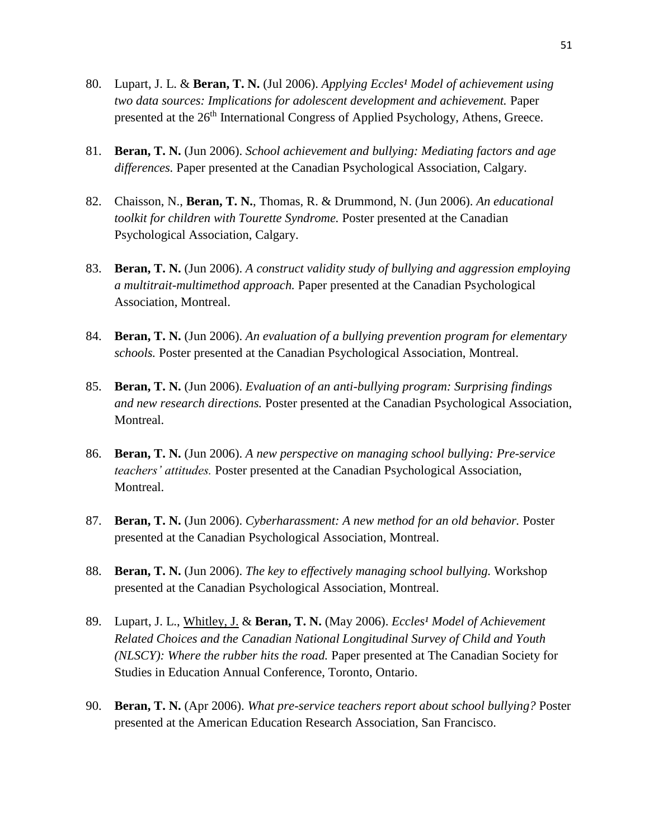- 80. Lupart, J. L. & **Beran, T. N.** (Jul 2006). *Applying Eccles<sup>1</sup> Model of achievement using two data sources: Implications for adolescent development and achievement.* Paper presented at the 26<sup>th</sup> International Congress of Applied Psychology, Athens, Greece.
- 81. **Beran, T. N.** (Jun 2006). *School achievement and bullying: Mediating factors and age differences.* Paper presented at the Canadian Psychological Association, Calgary.
- 82. Chaisson, N., **Beran, T. N.**, Thomas, R. & Drummond, N. (Jun 2006). *An educational toolkit for children with Tourette Syndrome.* Poster presented at the Canadian Psychological Association, Calgary.
- 83. **Beran, T. N.** (Jun 2006). *A construct validity study of bullying and aggression employing a multitrait-multimethod approach.* Paper presented at the Canadian Psychological Association, Montreal.
- 84. **Beran, T. N.** (Jun 2006). *An evaluation of a bullying prevention program for elementary schools.* Poster presented at the Canadian Psychological Association, Montreal.
- 85. **Beran, T. N.** (Jun 2006). *Evaluation of an anti-bullying program: Surprising findings and new research directions.* Poster presented at the Canadian Psychological Association, Montreal.
- 86. **Beran, T. N.** (Jun 2006). *A new perspective on managing school bullying: Pre-service teachers' attitudes.* Poster presented at the Canadian Psychological Association, Montreal.
- 87. **Beran, T. N.** (Jun 2006). *Cyberharassment: A new method for an old behavior.* Poster presented at the Canadian Psychological Association, Montreal.
- 88. **Beran, T. N.** (Jun 2006). *The key to effectively managing school bullying.* Workshop presented at the Canadian Psychological Association, Montreal.
- 89. Lupart, J. L., Whitley, J. & Beran, T. N. (May 2006). *Eccles<sup>1</sup> Model of Achievement Related Choices and the Canadian National Longitudinal Survey of Child and Youth (NLSCY): Where the rubber hits the road.* Paper presented at The Canadian Society for Studies in Education Annual Conference, Toronto, Ontario.
- 90. **Beran, T. N.** (Apr 2006). *What pre-service teachers report about school bullying?* Poster presented at the American Education Research Association, San Francisco.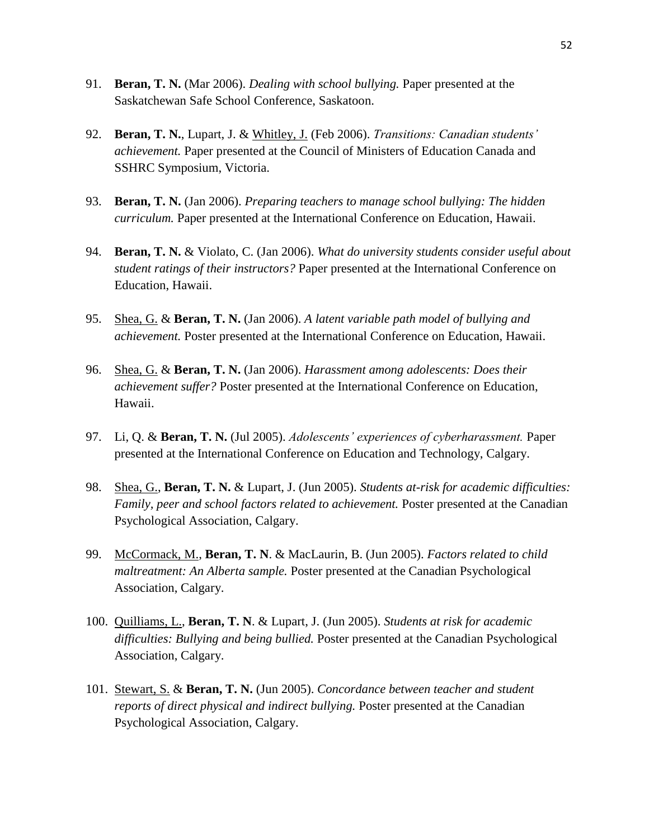- 91. **Beran, T. N.** (Mar 2006). *Dealing with school bullying.* Paper presented at the Saskatchewan Safe School Conference, Saskatoon.
- 92. **Beran, T. N.**, Lupart, J. & Whitley, J. (Feb 2006). *Transitions: Canadian students' achievement.* Paper presented at the Council of Ministers of Education Canada and SSHRC Symposium, Victoria.
- 93. **Beran, T. N.** (Jan 2006). *Preparing teachers to manage school bullying: The hidden curriculum.* Paper presented at the International Conference on Education, Hawaii.
- 94. **Beran, T. N.** & Violato, C. (Jan 2006). *What do university students consider useful about student ratings of their instructors?* Paper presented at the International Conference on Education, Hawaii.
- 95. Shea, G. & **Beran, T. N.** (Jan 2006). *A latent variable path model of bullying and achievement.* Poster presented at the International Conference on Education, Hawaii.
- 96. Shea, G. & **Beran, T. N.** (Jan 2006). *Harassment among adolescents: Does their achievement suffer?* Poster presented at the International Conference on Education, Hawaii.
- 97. Li, Q. & **Beran, T. N.** (Jul 2005). *Adolescents' experiences of cyberharassment.* Paper presented at the International Conference on Education and Technology, Calgary.
- 98. Shea, G., **Beran, T. N.** & Lupart, J. (Jun 2005). *Students at-risk for academic difficulties: Family, peer and school factors related to achievement.* Poster presented at the Canadian Psychological Association, Calgary.
- 99. McCormack, M., **Beran, T. N**. & MacLaurin, B. (Jun 2005). *Factors related to child maltreatment: An Alberta sample.* Poster presented at the Canadian Psychological Association, Calgary.
- 100. Quilliams, L., **Beran, T. N**. & Lupart, J. (Jun 2005). *Students at risk for academic difficulties: Bullying and being bullied.* Poster presented at the Canadian Psychological Association, Calgary.
- 101. Stewart, S. & **Beran, T. N.** (Jun 2005). *Concordance between teacher and student reports of direct physical and indirect bullying.* Poster presented at the Canadian Psychological Association, Calgary.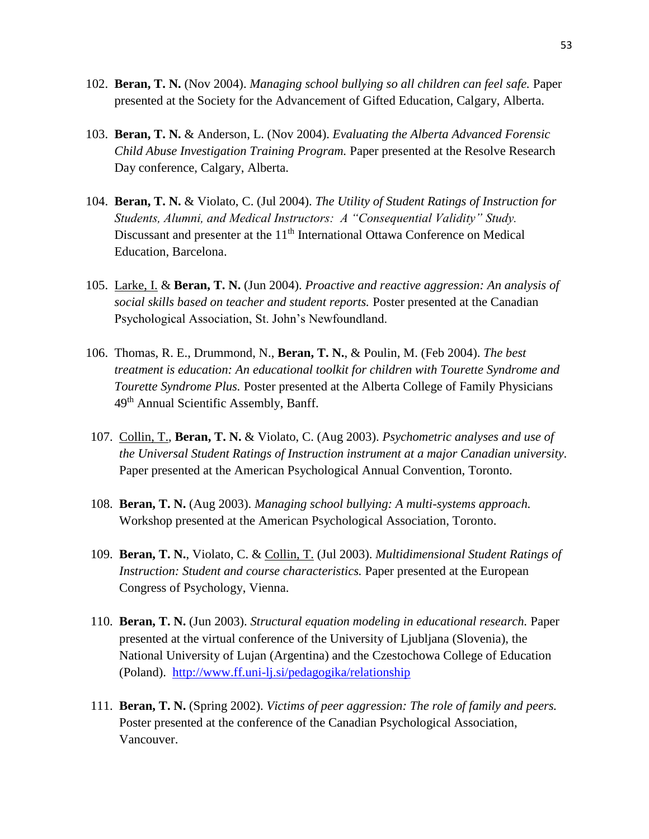- 102. **Beran, T. N.** (Nov 2004). *Managing school bullying so all children can feel safe.* Paper presented at the Society for the Advancement of Gifted Education, Calgary, Alberta.
- 103. **Beran, T. N.** & Anderson, L. (Nov 2004). *Evaluating the Alberta Advanced Forensic Child Abuse Investigation Training Program.* Paper presented at the Resolve Research Day conference, Calgary, Alberta.
- 104. **Beran, T. N.** & Violato, C. (Jul 2004). *The Utility of Student Ratings of Instruction for Students, Alumni, and Medical Instructors: A "Consequential Validity" Study.* Discussant and presenter at the 11<sup>th</sup> International Ottawa Conference on Medical Education, Barcelona.
- 105. Larke, I. & **Beran, T. N.** (Jun 2004). *Proactive and reactive aggression: An analysis of social skills based on teacher and student reports.* Poster presented at the Canadian Psychological Association, St. John's Newfoundland.
- 106. Thomas, R. E., Drummond, N., **Beran, T. N.**, & Poulin, M. (Feb 2004). *The best treatment is education: An educational toolkit for children with Tourette Syndrome and Tourette Syndrome Plus.* Poster presented at the Alberta College of Family Physicians 49th Annual Scientific Assembly, Banff.
- 107. Collin, T., **Beran, T. N.** & Violato, C. (Aug 2003). *Psychometric analyses and use of the Universal Student Ratings of Instruction instrument at a major Canadian university.* Paper presented at the American Psychological Annual Convention, Toronto.
- 108. **Beran, T. N.** (Aug 2003). *Managing school bullying: A multi-systems approach.* Workshop presented at the American Psychological Association, Toronto.
- 109. **Beran, T. N.**, Violato, C. & Collin, T. (Jul 2003). *Multidimensional Student Ratings of Instruction: Student and course characteristics.* Paper presented at the European Congress of Psychology, Vienna.
- 110. **Beran, T. N.** (Jun 2003). *Structural equation modeling in educational research.* Paper presented at the virtual conference of the University of Ljubljana (Slovenia), the National University of Lujan (Argentina) and the Czestochowa College of Education (Poland). <http://www.ff.uni-lj.si/pedagogika/relationship>
- 111. **Beran, T. N.** (Spring 2002). *Victims of peer aggression: The role of family and peers.* Poster presented at the conference of the Canadian Psychological Association, Vancouver.